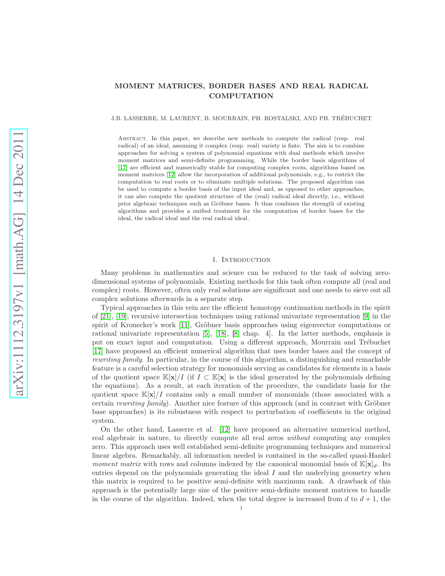# MOMENT MATRICES, BORDER BASES AND REAL RADICAL **COMPUTATION**

### J.B. LASSERRE, M. LAURENT, B. MOURRAIN, PH. ROSTALSKI, AND PH. TREBUCHET ´

Abstract. In this paper, we describe new methods to compute the radical (resp. real radical) of an ideal, assuming it complex (resp. real) variety is finte. The aim is to combine approaches for solving a system of polynomial equations with dual methods which involve moment matrices and semi-definite programming. While the border basis algorithms of [\[17\]](#page-20-0) are efficient and numerically stable for computing complex roots, algorithms based on moment matrices [\[12\]](#page-20-1) allow the incorporation of additional polynomials, e.g., to restrict the computation to real roots or to eliminate multiple solutions. The proposed algorithm can be used to compute a border basis of the input ideal and, as opposed to other approaches, it can also compute the quotient structure of the (real) radical ideal directly, i.e., without prior algebraic techniques such as Gröbner bases. It thus combines the strength of existing algorithms and provides a unified treatment for the computation of border bases for the ideal, the radical ideal and the real radical ideal.

# 1. INTRODUCTION

Many problems in mathematics and science can be reduced to the task of solving zerodimensional systems of polynomials. Existing methods for this task often compute all (real and complex) roots. However, often only real solutions are significant and one needs to sieve out all complex solutions afterwards in a separate step.

Typical approaches in this vein are the efficient homotopy continuation methods in the spirit of [\[21\]](#page-20-2), [\[19\]](#page-20-3), recursive intersection techniques using rational univariate representation [\[9\]](#page-20-4) in the spirit of Kronecker's work  $[11]$ , Gröbner basis approaches using eigenvector computations or rational univariate representation [\[5\]](#page-20-6), [\[18\]](#page-20-7), [\[8,](#page-20-8) chap. 4]. In the latter methods, emphasis is put on exact input and computation. Using a different approach, Mourrain and Trébuchet [\[17\]](#page-20-0) have proposed an efficient numerical algorithm that uses border bases and the concept of rewriting family. In particular, in the course of this algorithm, a distinguishing and remarkable feature is a careful selection strategy for monomials serving as candidates for elements in a basis of the quotient space K[x]/I (if  $I \subset K[x]$  is the ideal generated by the polynomials defining the equations). As a result, at each iteration of the procedure, the candidate basis for the quotient space  $\mathbb{K}[\mathbf{x}]/I$  contains only a small number of monomials (those associated with a certain rewriting family). Another nice feature of this approach (and in contrast with Gröbner base approaches) is its robustness with respect to perturbation of coefficients in the original system.

On the other hand, Lasserre et al. [\[12\]](#page-20-1) have proposed an alternative numerical method, real algebraic in nature, to directly compute all real zeros without computing any complex zero. This approach uses well established semi-definite programming techniques and numerical linear algebra. Remarkably, all information needed is contained in the so-called quasi-Hankel moment matrix with rows and columns indexed by the canonical monomial basis of  $\mathbb{K}[\mathbf{x}]_d$ . Its entries depend on the polynomials generating the ideal  $I$  and the underlying geometry when this matrix is required to be positive semi-definite with maximum rank. A drawback of this approach is the potentially large size of the positive semi-definite moment matrices to handle in the course of the algorithm. Indeed, when the total degree is increased from d to  $d + 1$ , the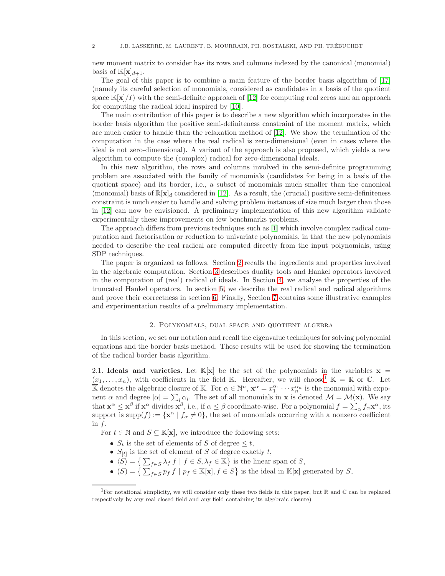new moment matrix to consider has its rows and columns indexed by the canonical (monomial) basis of  $\mathbb{K}[\mathbf{x}]_{d+1}$ .

The goal of this paper is to combine a main feature of the border basis algorithm of [\[17\]](#page-20-0) (namely its careful selection of monomials, considered as candidates in a basis of the quotient space  $\mathbb{K}[\mathbf{x}]/I$  with the semi-definite approach of [\[12\]](#page-20-1) for computing real zeros and an approach for computing the radical ideal inspired by [\[10\]](#page-20-9).

The main contribution of this paper is to describe a new algorithm which incorporates in the border basis algorithm the positive semi-definiteness constraint of the moment matrix, which are much easier to handle than the relaxation method of [\[12\]](#page-20-1). We show the termination of the computation in the case where the real radical is zero-dimensional (even in cases where the ideal is not zero-dimensional). A variant of the approach is also proposed, which yields a new algorithm to compute the (complex) radical for zero-dimensional ideals.

In this new algorithm, the rows and columns involved in the semi-definite programming problem are associated with the family of monomials (candidates for being in a basis of the quotient space) and its border, i.e., a subset of monomials much smaller than the canonical (monomial) basis of  $\mathbb{R}[\mathbf{x}]_d$  considered in [\[12\]](#page-20-1). As a result, the (crucial) positive semi-definiteness constraint is much easier to handle and solving problem instances of size much larger than those in [\[12\]](#page-20-1) can now be envisioned. A preliminary implementation of this new algorithm validate experimentally these improvements on few benchmarks problems.

The approach differs from previous techniques such as [\[1\]](#page-19-0) which involve complex radical computation and factorisation or reduction to univariate polynomials, in that the new polynomials needed to describe the real radical are computed directly from the input polynomials, using SDP techniques.

The paper is organized as follows. Section [2](#page-1-0) recalls the ingredients and properties involved in the algebraic computation. Section [3](#page-6-0) describes duality tools and Hankel operators involved in the computation of (real) radical of ideals. In Section [4,](#page-10-0) we analyse the properties of the truncated Hankel operators. In section [5,](#page-12-0) we describe the real radical and radical algorithms and prove their correctness in section [6.](#page-15-0) Finally, Section [7](#page-17-0) contains some illustrative examples and experimentation results of a preliminary implementation.

#### 2. Polynomials, dual space and quotient algebra

<span id="page-1-0"></span>In this section, we set our notation and recall the eigenvalue techniques for solving polynomial equations and the border basis method. These results will be used for showing the termination of the radical border basis algorithm.

2.1. Ideals and varieties. Let  $\mathbb{K}[x]$  be the set of the polynomials in the variables  $x =$  $(x_1,\ldots,x_n)$  $(x_1,\ldots,x_n)$  $(x_1,\ldots,x_n)$ , with coefficients in the field K. Hereafter, we will choose<sup>1</sup> K = R or C. Let  $\overline{\mathbb{K}}$  denotes the algebraic closure of  $\mathbb{K}$ . For  $\alpha \in \mathbb{N}^n$ ,  $\mathbf{x}^{\alpha} = x_1^{\alpha_1} \cdots x_n^{\alpha_n}$  is the monomial with exponent  $\alpha$  and degree  $|\alpha| = \sum_i \alpha_i$ . The set of all monomials in **x** is denoted  $\mathcal{M} = \mathcal{M}(\mathbf{x})$ . We say that  $\mathbf{x}^{\alpha} \leq \mathbf{x}^{\beta}$  if  $\mathbf{x}^{\alpha}$  divides  $\mathbf{x}^{\beta}$ , i.e., if  $\alpha \leq \beta$  coordinate-wise. For a polynomial  $f = \sum_{\alpha} f_{\alpha} \mathbf{x}^{\alpha}$ , its support is supp $(f) := \{ \mathbf{x}^{\alpha} \mid f_{\alpha} \neq 0 \}$ , the set of monomials occurring with a nonzero coefficient in f.

For  $t \in \mathbb{N}$  and  $S \subseteq \mathbb{K}[\mathbf{x}]$ , we introduce the following sets:

- $S_t$  is the set of elements of S of degree  $\leq t$ ,
- $S_{[t]}$  is the set of element of S of degree exactly t,
- $\langle S \rangle = \left\{ \sum_{f \in S} \lambda_f f \mid f \in S, \lambda_f \in \mathbb{K} \right\}$  is the linear span of S,
- $(S) = \left\{ \sum_{f \in S} p_f f \mid p_f \in \mathbb{K}[\mathbf{x}], f \in S \right\}$  is the ideal in  $\mathbb{K}[\mathbf{x}]$  generated by S,

<span id="page-1-1"></span><sup>&</sup>lt;sup>1</sup>For notational simplicity, we will consider only these two fields in this paper, but  $\mathbb R$  and  $\mathbb C$  can be replaced respectively by any real closed field and any field containing its algebraic closure)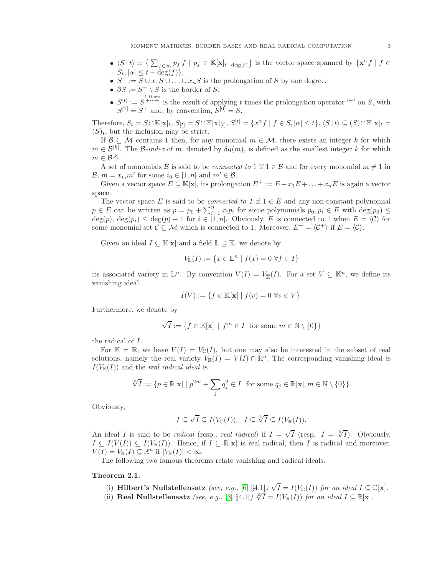- $\langle S | t \rangle = \left\{ \sum_{f \in S_t} p_f f \mid p_f \in \mathbb{K}[\mathbf{x}]_{t-\deg(f)} \right\}$  is the vector space spanned by  $\{ \mathbf{x}^{\alpha} f \mid f \in$  $S_t, |\alpha| \leq t - \deg(f) \},$
- $S^+ := S \cup x_1 S \cup ... \cup x_n S$  is the prolongation of S by one degree,
- $\partial S := S^+ \setminus S$  is the border of S,
- $\bullet$   $S^{[t]} := S^{t \text{ times}}$  is the result of applying t times the prolongation operator '<sup>+</sup>' on S, with  $S^{[1]} = S^{+}$  and, by convention,  $S^{[0]} = S$ .

Therefore,  $S_t = S \cap \mathbb{K}[\mathbf{x}]_t$ ,  $S_{[t]} = S \cap \mathbb{K}[\mathbf{x}]_{[t]}$ ,  $S^{[t]} = \{x^{\alpha} f | f \in S, |\alpha| \le t\}$ ,  $\langle S | t \rangle \subseteq (S) \cap \mathbb{K}[\mathbf{x}]_t =$  $(S)<sub>t</sub>$ , but the inclusion may be strict.

If  $\mathcal{B} \subseteq \mathcal{M}$  contains 1 then, for any monomial  $m \in \mathcal{M}$ , there exists an integer k for which  $m \in \mathcal{B}^{[k]}$ . The B-index of m, denoted by  $\delta_{\mathcal{B}}(m)$ , is defined as the smallest integer k for which  $m \in \mathcal{B}^{[k]}$ .

A set of monomials B is said to be *connected to* 1 if  $1 \in \mathcal{B}$  and for every monomial  $m \neq 1$  in  $\mathcal{B}, m = x_{i_0} m'$  for some  $i_0 \in [1, n]$  and  $m' \in \mathcal{B}$ .

Given a vector space  $E \subseteq \mathbb{K}[\mathbf{x}]$ , its prolongation  $E^+ := E + x_1E + \ldots + x_nE$  is again a vector space.

The vector space E is said to be *connected to 1* if  $1 \in E$  and any non-constant polynomial  $p \in E$  can be written as  $p = p_0 + \sum_{i=1}^n x_i p_i$  for some polynomials  $p_0, p_i \in E$  with  $\deg(p_0) \le$  $deg(p_i) \leq deg(p_i) - 1$  for  $i \in [1, n]$ . Obviously, E is connected to 1 when  $E = \langle C \rangle$  for some monomial set  $\mathcal{C} \subseteq \mathcal{M}$  which is connected to 1. Moreover,  $E^+ = \langle \mathcal{C}^+ \rangle$  if  $E = \langle \mathcal{C} \rangle$ .

Given an ideal  $I \subseteq \mathbb{K}[\mathbf{x}]$  and a field  $\mathbb{L} \supseteq \mathbb{K}$ , we denote by

$$
V_{\mathbb{L}}(I) := \{ x \in \mathbb{L}^n \mid f(x) = 0 \,\,\forall f \in I \}
$$

its associated variety in  $\mathbb{L}^n$ . By convention  $V(I) = V_{\mathbb{K}}(I)$ . For a set  $V \subseteq \mathbb{K}^n$ , we define its vanishing ideal

$$
I(V) := \{ f \in \mathbb{K}[\mathbf{x}] \mid f(v) = 0 \,\,\forall v \in V \}.
$$

Furthermore, we denote by

$$
\sqrt{I} := \{ f \in \mathbb{K}[\mathbf{x}] \mid f^m \in I \text{ for some } m \in \mathbb{N} \setminus \{0\} \}
$$

the radical of I.

For  $\mathbb{K} = \mathbb{R}$ , we have  $V(I) = V_{\mathbb{C}}(I)$ , but one may also be interested in the subset of real solutions, namely the real variety  $V_{\mathbb{R}}(I) = V(I) \cap \mathbb{R}^n$ . The corresponding vanishing ideal is  $I(V_{\mathbb{R}}(I))$  and the *real radical ideal* is

$$
\sqrt[\mathbb{R}]{I} := \{ p \in \mathbb{R}[\mathbf{x}] \mid p^{2m} + \sum_{j} q_j^2 \in I \text{ for some } q_j \in \mathbb{R}[\mathbf{x}], m \in \mathbb{N} \setminus \{0\} \}.
$$

Obviously,

$$
I\subseteq \sqrt{I}\subseteq I(V_{\mathbb{C}}(I)),\quad I\subseteq \sqrt[\mathbb{R}]{I}\subseteq I(V_{\mathbb{R}}(I)).
$$

An ideal I is said to be *radical* (resp., *real radical*) if  $I = \sqrt{I}$  (resp.  $I = \sqrt[T]{I}$ ). Obviously,  $I \subseteq I(V(I)) \subseteq I(V_{\mathbb{R}}(I)).$  Hence, if  $I \subseteq \mathbb{R}[\mathbf{x}]$  is real radical, then I is radical and moreover,  $V(I) = V_{\mathbb{R}}(I) \subseteq \mathbb{R}^n$  if  $|V_{\mathbb{R}}(I)| < \infty$ .

The following two famous theorems relate vanishing and radical ideals:

### Theorem 2.1.

- (i) Hilbert's Nullstellensatz (see, e.g., [\[6,](#page-20-10) §4.1])  $\sqrt{I} = I(V_{\mathbb{C}}(I))$  for an ideal  $I \subseteq \mathbb{C}[\mathbf{x}]$ .
- (ii) Real Nullstellensatz (see, e.g., [\[3,](#page-20-11) §4.1])  $\sqrt[R]{I} = I(V_{\mathbb{R}}(I))$  for an ideal  $I \subseteq \mathbb{R}[\mathbf{x}]$ .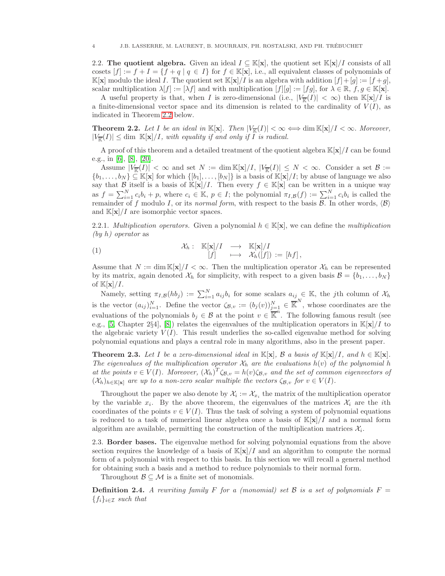2.2. The quotient algebra. Given an ideal  $I \subseteq \mathbb{K}[\mathbf{x}]$ , the quotient set  $\mathbb{K}[\mathbf{x}]/I$  consists of all cosets  $[f] := f + I = \{f + q \mid q \in I\}$  for  $f \in \mathbb{K}[\mathbf{x}]$ , i.e., all equivalent classes of polynomials of  $\mathbb{K}[\mathbf{x}]$  modulo the ideal I. The quotient set  $\mathbb{K}[\mathbf{x}]/I$  is an algebra with addition  $[f]+[g] := [f+g]$ , scalar multiplication  $\lambda[f] := [\lambda f]$  and with multiplication  $[f][g] := [fg]$ , for  $\lambda \in \mathbb{R}$ ,  $f, g \in \mathbb{K}[\mathbf{x}]$ .

A useful property is that, when I is zero-dimensional (i.e.,  $|V_{\overline{k}}(I)| < \infty$ ) then  $\mathbb{K}[\mathbf{x}]/I$  is a finite-dimensional vector space and its dimension is related to the cardinality of  $V(I)$ , as indicated in Theorem [2.2](#page-3-0) below.

<span id="page-3-0"></span>**Theorem 2.2.** Let I be an ideal in  $\mathbb{K}[\mathbf{x}]$ . Then  $|V_{\mathbb{K}}(I)| < \infty \Longleftrightarrow \dim \mathbb{K}[\mathbf{x}]/I < \infty$ . Moreover,  $|V_{\overline{K}}(I)| \leq \dim \mathbb{K}[\mathbf{x}]/I$ , with equality if and only if I is radical.

A proof of this theorem and a detailed treatment of the quotient algebra  $\mathbb{K}[\mathbf{x}]/I$  can be found e.g., in [\[6\]](#page-20-10), [\[8\]](#page-20-8), [\[20\]](#page-20-12).

Assume  $|V_{\overline{K}}(I)| < \infty$  and set  $N := \dim K[\mathbf{x}]/I, |V_{\overline{K}}(I)| \leq N < \infty$ . Consider a set  $\mathcal{B} :=$  $\{b_1,\ldots,b_N\} \subseteq \mathbb{K}[\mathbf{x}]$  for which  $\{[b_1],\ldots,[b_N]\}$  is a basis of  $\mathbb{K}[\mathbf{x}]/I$ ; by abuse of language we also say that B itself is a basis of K[x]/I. Then every  $f \in K[x]$  can be written in a unique way as  $f = \sum_{i=1}^{N} c_i b_i + p$ , where  $c_i \in \mathbb{K}$ ,  $p \in I$ ; the polynomial  $\pi_{I,B}(f) := \sum_{i=1}^{N} c_i b_i$  is called the remainder of f modulo I, or its normal form, with respect to the basis  $\mathcal{B}$ . In other words,  $\langle \mathcal{B} \rangle$ and  $\mathbb{K}[\mathbf{x}]/I$  are isomorphic vector spaces.

2.2.1. Multiplication operators. Given a polynomial  $h \in \mathbb{K}[\mathbf{x}]$ , we can define the multiplication (by h) operator as

(1) 
$$
\mathcal{X}_h: \mathbb{K}[\mathbf{x}]/I \longrightarrow \mathbb{K}[\mathbf{x}]/I [f] \longmapsto \mathcal{X}_h([f]) := [hf],
$$

Assume that  $N := \dim \mathbb{K}[\mathbf{x}]/I < \infty$ . Then the multiplication operator  $\mathcal{X}_h$  can be represented by its matrix, again denoted  $\mathcal{X}_h$  for simplicity, with respect to a given basis  $\mathcal{B} = \{b_1, \ldots, b_N\}$ of  $\mathbb{K}[\mathbf{x}]/I$ .

Namely, setting  $\pi_{I,B}(hb_j) := \sum_{i=1}^N a_{ij}b_i$  for some scalars  $a_{ij} \in \mathbb{K}$ , the jth column of  $\mathcal{X}_h$ is the vector  $(a_{ij})_{i=1}^N$ . Define the vector  $\zeta_{\mathcal{B},v} := (b_j(v))_{j=1}^N \in \overline{\mathbb{K}}^N$ , whose coordinates are the evaluations of the polynomials  $b_j \in \mathcal{B}$  at the point  $v \in \overline{\mathbb{K}}^n$ . The following famous result (see e.g., [\[5,](#page-20-6) Chapter 2§4], [\[8\]](#page-20-8)) relates the eigenvalues of the multiplication operators in  $\mathbb{K}[\mathbf{x}]/I$  to the algebraic variety  $V(I)$ . This result underlies the so-called eigenvalue method for solving polynomial equations and plays a central role in many algorithms, also in the present paper.

**Theorem 2.3.** Let I be a zero-dimensional ideal in  $\mathbb{K}[\mathbf{x}]$ , B a basis of  $\mathbb{K}[\mathbf{x}]/I$ , and  $h \in \mathbb{K}[\mathbf{x}]$ . The eigenvalues of the multiplication operator  $\mathcal{X}_h$  are the evaluations  $h(v)$  of the polynomial h at the points  $v \in V(I)$ . Moreover,  $(\mathcal{X}_h)^T \zeta_{\mathcal{B},v} = h(v) \zeta_{\mathcal{B},v}$  and the set of common eigenvectors of  $(\mathcal{X}_h)_{h \in \mathbb{K}[\mathbf{x}]}$  are up to a non-zero scalar multiple the vectors  $\zeta_{\mathcal{B},v}$  for  $v \in V(I)$ .

Throughout the paper we also denote by  $\mathcal{X}_i := \mathcal{X}_{x_i}$  the matrix of the multiplication operator by the variable  $x_i$ . By the above theorem, the eigenvalues of the matrices  $\mathcal{X}_i$  are the *i*th coordinates of the points  $v \in V(I)$ . Thus the task of solving a system of polynomial equations is reduced to a task of numerical linear algebra once a basis of  $\mathbb{K}[\mathbf{x}]/I$  and a normal form algorithm are available, permitting the construction of the multiplication matrices  $\mathcal{X}_i$ .

2.3. Border bases. The eigenvalue method for solving polynomial equations from the above section requires the knowledge of a basis of  $\mathbb{K}[\mathbf{x}]/I$  and an algorithm to compute the normal form of a polynomial with respect to this basis. In this section we will recall a general method for obtaining such a basis and a method to reduce polynomials to their normal form.

Throughout  $\mathcal{B} \subseteq \mathcal{M}$  is a finite set of monomials.

**Definition 2.4.** A rewriting family F for a (monomial) set B is a set of polynomials  $F =$  ${f_i}_{i \in \mathcal{I}}$  such that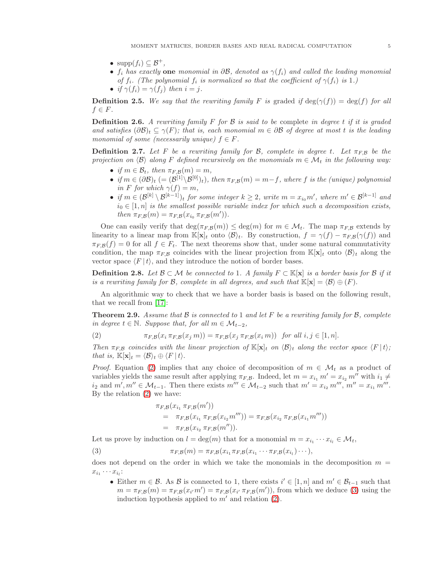- $\text{supp}(f_i) \subseteq \mathcal{B}^+$ ,
- $f_i$  has exactly one monomial in  $\partial \mathcal{B}$ , denoted as  $\gamma(f_i)$  and called the leading monomial of  $f_i$ . (The polynomial  $f_i$  is normalized so that the coefficient of  $\gamma(f_i)$  is 1.)
- if  $\gamma(f_i) = \gamma(f_i)$  then  $i = j$ .

**Definition 2.5.** We say that the rewriting family F is graded if  $\deg(\gamma(f)) = \deg(f)$  for all  $f \in F$ .

**Definition 2.6.** A rewriting family F for B is said to be complete in degree t if it is graded and satisfies  $(\partial \mathcal{B})_t \subseteq \gamma(F)$ ; that is, each monomial  $m \in \partial \mathcal{B}$  of degree at most t is the leading monomial of some (necessarily unique)  $f \in F$ .

<span id="page-4-2"></span>**Definition 2.7.** Let F be a rewriting family for B, complete in degree t. Let  $\pi_{F,B}$  be the projection on  $\langle \mathcal{B} \rangle$  along F defined recursively on the monomials  $m \in \mathcal{M}_t$  in the following way:

- if  $m \in \mathcal{B}_t$ , then  $\pi_{F,B}(m) = m$ ,
- if  $m \in (\partial \mathcal{B})_t$  (=  $(\mathcal{B}^{[1]}\setminus \mathcal{B}^{[0]})_t$ ), then  $\pi_{F,\mathcal{B}}(m) = m-f$ , where f is the (unique) polynomial in F for which  $\gamma(f) = m$ ,
- if  $m \in (\mathcal{B}^{[k]}\setminus \mathcal{B}^{[k-1]})$ t for some integer  $k \geq 2$ , write  $m = x_{i_0}m'$ , where  $m' \in \mathcal{B}^{[k-1]}$  and  $i_0 \in [1, n]$  is the smallest possible variable index for which such a decomposition exists, then  $\pi_{F,B}(m) = \pi_{F,B}(x_{i_0} \pi_{F,B}(m'))$ .

One can easily verify that  $\deg(\pi_{F,B}(m)) \leq \deg(m)$  for  $m \in \mathcal{M}_t$ . The map  $\pi_{F,B}$  extends by linearity to a linear map from  $\mathbb{K}[\mathbf{x}]_t$  onto  $\langle \mathcal{B} \rangle_t$ . By construction,  $f = \gamma(f) - \pi_{F,B}(\gamma(f))$  and  $\pi_{F,B}(f) = 0$  for all  $f \in F_t$ . The next theorems show that, under some natural commutativity condition, the map  $\pi_{FB}$  coincides with the linear projection from  $\mathbb{K}[\mathbf{x}]_t$  onto  $\langle \mathcal{B} \rangle_t$  along the vector space  $\langle F | t \rangle$ , and they introduce the notion of border bases.

**Definition 2.8.** Let  $\mathcal{B} \subset \mathcal{M}$  be connected to 1. A family  $F \subset \mathbb{K}[\mathbf{x}]$  is a border basis for  $\mathcal{B}$  if it is a rewriting family for B, complete in all degrees, and such that  $\mathbb{K}[\mathbf{x}] = \langle \mathcal{B} \rangle \oplus (F)$ .

An algorithmic way to check that we have a border basis is based on the following result, that we recall from [\[17\]](#page-20-0):

<span id="page-4-3"></span>**Theorem 2.9.** Assume that  $\beta$  is connected to 1 and let  $F$  be a rewriting family for  $\beta$ , complete in degree  $t \in \mathbb{N}$ . Suppose that, for all  $m \in \mathcal{M}_{t-2}$ ,

<span id="page-4-0"></span>(2) 
$$
\pi_{F,\mathcal{B}}(x_i \pi_{F,\mathcal{B}}(x_j m)) = \pi_{F,\mathcal{B}}(x_j \pi_{F,\mathcal{B}}(x_i m)) \text{ for all } i,j \in [1,n].
$$

Then  $\pi_{F,B}$  coincides with the linear projection of  $\mathbb{K}[\mathbf{x}]_t$  on  $\langle B \rangle_t$  along the vector space  $\langle F | t \rangle$ ; that is,  $\mathbb{K}[\mathbf{x}]_t = \langle \mathcal{B} \rangle_t \oplus \langle F | t \rangle$ .

*Proof.* Equation [\(2\)](#page-4-0) implies that any choice of decomposition of  $m \in \mathcal{M}_t$  as a product of variables yields the same result after applying  $\pi_{F,B}$ . Indeed, let  $m = x_{i_1} m' = x_{i_2} m''$  with  $i_1 \neq i_2$  $i_2$  and  $m', m'' \in \mathcal{M}_{t-1}$ . Then there exists  $m''' \in \mathcal{M}_{t-2}$  such that  $m' = x_{i_2} m'''$ ,  $m'' = x_{i_1} m'''$ . By the relation [\(2\)](#page-4-0) we have:

<span id="page-4-1"></span>
$$
\pi_{F,B}(x_{i_1} \pi_{F,B}(m'))
$$
  
=  $\pi_{F,B}(x_{i_1} \pi_{F,B}(x_{i_2} m''')) = \pi_{F,B}(x_{i_2} \pi_{F,B}(x_{i_1} m'''))$   
=  $\pi_{F,B}(x_{i_2} \pi_{F,B}(m'')).$ 

Let us prove by induction on  $l = \deg(m)$  that for a monomial  $m = x_{i_1} \cdots x_{i_l} \in \mathcal{M}_t$ ,

(3) 
$$
\pi_{F,\mathcal{B}}(m) = \pi_{F,\mathcal{B}}(x_{i_1}\pi_{F,\mathcal{B}}(x_{i_1}\cdots \pi_{F,\mathcal{B}}(x_{i_l})\cdots),
$$

does not depend on the order in which we take the monomials in the decomposition  $m =$  $x_{i_1} \cdots x_{i_l}$ :

• Either  $m \in \mathcal{B}$ . As  $\mathcal{B}$  is connected to 1, there exists  $i' \in [1, n]$  and  $m' \in \mathcal{B}_{t-1}$  such that  $m = \pi_{F,B}(m) = \pi_{F,B}(x_{i'}m') = \pi_{F,B}(x_{i'}\pi_{F,B}(m'))$ , from which we deduce [\(3\)](#page-4-1) using the induction hypothesis applied to  $m'$  and relation [\(2\)](#page-4-0).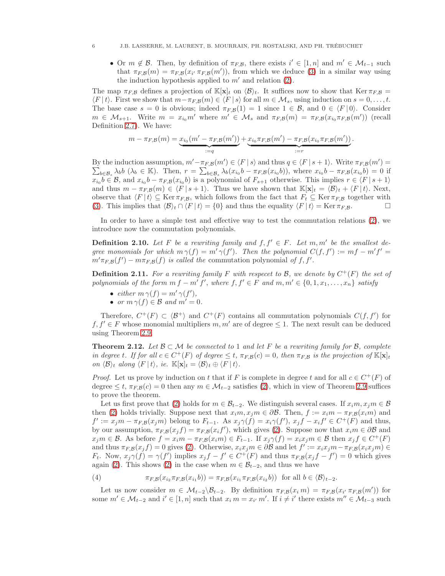• Or  $m \notin \mathcal{B}$ . Then, by definition of  $\pi_{F,\mathcal{B}}$ , there exists  $i' \in [1,n]$  and  $m' \in \mathcal{M}_{t-1}$  such that  $\pi_{F,\mathcal{B}}(m) = \pi_{F,\mathcal{B}}(x_{i'} \pi_{F,\mathcal{B}}(m'))$ , from which we deduce [\(3\)](#page-4-1) in a similar way using the induction hypothesis applied to  $m'$  and relation [\(2\)](#page-4-0).

The map  $\pi_{F,B}$  defines a projection of  $\mathbb{K}[\mathbf{x}]_t$  on  $\langle \mathcal{B} \rangle_t$ . It suffices now to show that Ker  $\pi_{F,B}$  =  $\langle F | t \rangle$ . First we show that  $m-\pi_{F,B}(m) \in \langle F | s \rangle$  for all  $m \in \mathcal{M}_s$ , using induction on  $s = 0, \ldots, t$ . The base case  $s = 0$  is obvious; indeed  $\pi_{F,B}(1) = 1$  since  $1 \in \mathcal{B}$ , and  $0 \in \langle F | 0 \rangle$ . Consider  $m \in \mathcal{M}_{s+1}$ . Write  $m = x_{i_0} m'$  where  $m' \in \mathcal{M}_s$  and  $\pi_{F,\mathcal{B}}(m) = \pi_{F,\mathcal{B}}(x_{i_0} \pi_{F,\mathcal{B}}(m'))$  (recall Definition [2.7\)](#page-4-2). We have:

$$
m - \pi_{F,B}(m) = \underbrace{x_{i_0}(m' - \pi_{F,B}(m'))}_{:=q} + \underbrace{x_{i_0} \pi_{F,B}(m') - \pi_{F,B}(x_{i_0} \pi_{F,B}(m'))}_{:=r}.
$$

By the induction assumption,  $m' - \pi_{F,\mathcal{B}}(m') \in \langle F | s \rangle$  and thus  $q \in \langle F | s + 1 \rangle$ . Write  $\pi_{F,\mathcal{B}}(m') =$  $\sum_{b\in\mathcal{B}_s}\lambda_b b\ (\lambda_b\in\mathbb{K})$ . Then,  $r=\sum_{b\in\mathcal{B}_s}\lambda_b(x_{i_0}b-\pi_{F,\mathcal{B}}(x_{i_0}b))$ , where  $x_{i_0}b-\pi_{F,\mathcal{B}}(x_{i_0}b)=0$  if  $x_{i_0}b \in \mathcal{B}$ , and  $x_{i_0}b - \pi_{F,\mathcal{B}}(x_{i_0}b)$  is a polynomial of  $F_{s+1}$  otherwise. This implies  $r \in \langle F | s + 1 \rangle$ and thus  $m - \pi_{F,\mathcal{B}}(m) \in \langle F | s+1 \rangle$ . Thus we have shown that  $\mathbb{K}[\mathbf{x}]_t = \langle \mathcal{B} \rangle_t + \langle F | t \rangle$ . Next, observe that  $\langle F | t \rangle \subseteq \text{Ker } \pi_{F,B}$ , which follows from the fact that  $F_t \subseteq \text{Ker } \pi_{F,B}$  together with (3). This implies that  $\langle B \rangle_t \cap \langle F | t \rangle = \{0\}$  and thus the equality  $\langle F | t \rangle = \text{Ker } \pi_{F,B}$ . [\(3\)](#page-4-1). This implies that  $\langle \mathcal{B} \rangle_t \cap \langle F | t \rangle = \{0\}$  and thus the equality  $\langle F | t \rangle = \text{Ker } \pi_{F,\mathcal{B}}$ .

In order to have a simple test and effective way to test the commutation relations [\(2\)](#page-4-0), we introduce now the commutation polynomials.

**Definition 2.10.** Let F be a rewriting family and  $f, f' \in F$ . Let  $m, m'$  be the smallest degree monomials for which  $m \gamma(f) = m' \gamma(f')$ . Then the polynomial  $C(f, f') := mf - m'f' =$  $m' \pi_{F,B}(f') - m \pi_{F,B}(f)$  is called the commutation polynomial of f, f'.

**Definition 2.11.** For a rewriting family F with respect to B, we denote by  $C^+(F)$  the set of polynomials of the form  $mf - m' f'$ , where  $f, f' \in F$  and  $m, m' \in \{0, 1, x_1, \ldots, x_n\}$  satisfy

- either  $m \gamma(f) = m' \gamma(f'),$
- or  $m \gamma(f) \in \mathcal{B}$  and  $m' = 0$ .

Therefore,  $C^+(F) \subset \langle \mathcal{B}^+ \rangle$  and  $C^+(F)$  contains all commutation polynomials  $C(f, f')$  for  $f, f' \in F$  whose monomial multipliers  $m, m'$  are of degree  $\leq 1$ . The next result can be deduced using Theorem [2.9.](#page-4-3)

<span id="page-5-1"></span>**Theorem 2.12.** Let  $\mathcal{B} \subset \mathcal{M}$  be connected to 1 and let F be a rewriting family for  $\mathcal{B}$ , complete in degree t. If for all  $c \in C^+(F)$  of degree  $\leq t$ ,  $\pi_{F,\mathcal{B}}(c)=0$ , then  $\pi_{F,\mathcal{B}}$  is the projection of  $\mathbb{K}[\mathbf{x}]_t$ on  $\langle \mathcal{B} \rangle_t$  along  $\langle F | t \rangle$ , ie.  $\mathbb{K}[\mathbf{x}]_t = \langle \mathcal{B} \rangle_t \oplus \langle F | t \rangle$ .

*Proof.* Let us prove by induction on t that if F is complete in degree t and for all  $c \in C^+(F)$  of degree  $\leq t$ ,  $\pi_{F,B}(c) = 0$  then any  $m \in \mathcal{M}_{t-2}$  satisfies [\(2\)](#page-4-0), which in view of Theorem [2.9](#page-4-3) suffices to prove the theorem.

Let us first prove that [\(2\)](#page-4-0) holds for  $m \in \mathcal{B}_{t-2}$ . We distinguish several cases. If  $x_i m, x_j m \in \mathcal{B}$ then [\(2\)](#page-4-0) holds trivially. Suppose next that  $x_i m, x_j m \in \partial \mathcal{B}$ . Then,  $f := x_i m - \pi_{FB}(x_i m)$  and  $f' := x_j m - \pi_{F,B}(x_j m)$  belong to  $F_{t-1}$ . As  $x_j \gamma(f) = x_i \gamma(f')$ ,  $x_j f - x_i f' \in C^+(F)$  and thus, by our assumption,  $\pi_{F,B}(x_j f) = \pi_{F,B}(x_i f')$ , which gives [\(2\)](#page-4-0). Suppose now that  $x_i m \in \partial B$  and  $x_jm \in \mathcal{B}$ . As before  $f = x_im - \pi_{F,\mathcal{B}}(x_im) \in F_{t-1}$ . If  $x_j\gamma(f) = x_ix_jm \in \mathcal{B}$  then  $x_jf \in C^+(F)$ and thus  $\pi_{F,\mathcal{B}}(x_jf) = 0$  gives [\(2\)](#page-4-0). Otherwise,  $x_ix_jm \in \partial \mathcal{B}$  and let  $f' := x_ix_jm - \pi_{F,\mathcal{B}}(x_ix_jm) \in$  $F_t$ . Now,  $x_j \gamma(f) = \gamma(f')$  implies  $x_j f - f' \in C^+(F)$  and thus  $\pi_{F,\mathcal{B}}(x_j f - f') = 0$  which gives again [\(2\)](#page-4-0). This shows (2) in the case when  $m \in \mathcal{B}_{t-2}$ , and thus we have

<span id="page-5-0"></span>(4) 
$$
\pi_{F,\mathcal{B}}(x_{i_2}\pi_{F,\mathcal{B}}(x_{i_1}b)) = \pi_{F,\mathcal{B}}(x_{i_1}\pi_{F,\mathcal{B}}(x_{i_2}b)) \text{ for all } b \in \langle \mathcal{B} \rangle_{t-2}.
$$

Let us now consider  $m \in \mathcal{M}_{t-2} \setminus \mathcal{B}_{t-2}$ . By definition  $\pi_{F,B}(x_i, m) = \pi_{F,B}(x_i, \pi_{F,B}(m'))$  for some  $m' \in \mathcal{M}_{t-2}$  and  $i' \in [1, n]$  such that  $x_i m = x_{i'} m'$ . If  $i \neq i'$  there exists  $m'' \in \mathcal{M}_{t-3}$  such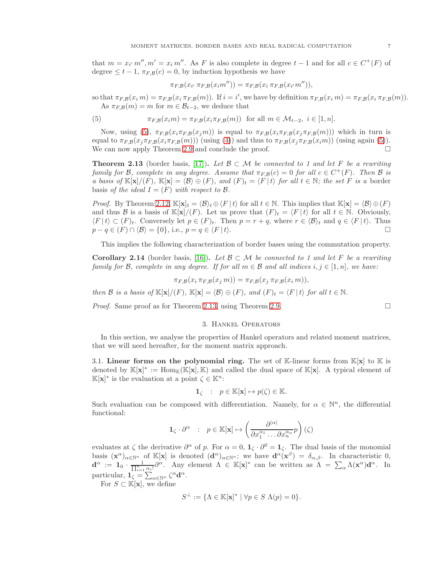that  $m = x_{i'} m''$ ,  $m' = x_i m''$ . As F is also complete in degree  $t - 1$  and for all  $c \in C^+(F)$  of degree  $\leq t-1$ ,  $\pi_{F,B}(c) = 0$ , by induction hypothesis we have

<span id="page-6-1"></span>
$$
\pi_{F,\mathcal{B}}(x_{i'}\,\pi_{F,\mathcal{B}}(x_im''))=\pi_{F,\mathcal{B}}(x_i\,\pi_{F,\mathcal{B}}(x_{i'}m'')),
$$

so that  $\pi_{F,\mathcal{B}}(x_i, m) = \pi_{F,\mathcal{B}}(x_i \pi_{F,\mathcal{B}}(m))$ . If  $i = i'$ , we have by definition  $\pi_{F,\mathcal{B}}(x_i, m) = \pi_{F,\mathcal{B}}(x_i \pi_{F,\mathcal{B}}(m))$ . As  $\pi_{F,\mathcal{B}}(m) = m$  for  $m \in \mathcal{B}_{t-2}$ , we deduce that

(5) 
$$
\pi_{F,\mathcal{B}}(x_im) = \pi_{F,\mathcal{B}}(x_i\pi_{F,\mathcal{B}}(m)) \text{ for all } m \in \mathcal{M}_{t-2}, i \in [1,n].
$$

Now, using [\(5\)](#page-6-1),  $\pi_{F,B}(x_i \pi_{F,B}(x_j m))$  is equal to  $\pi_{F,B}(x_i \pi_{F,B}(x_j \pi_{F,B}(m)))$  which in turn is equal to  $\pi_{F,B}(x_j \pi_{F,B}(x_i \pi_{F,B}(m)))$  (using [\(4\)](#page-5-0)) and thus to  $\pi_{F,B}(x_j \pi_{F,B}(x_i m))$  (using again [\(5\)](#page-6-1)). We can now apply Theorem [2.9](#page-4-3) and conclude the proof.  $\Box$ 

<span id="page-6-2"></span>**Theorem 2.13** (border basis, [\[17\]](#page-20-0)). Let  $\mathcal{B} \subset \mathcal{M}$  be connected to 1 and let F be a rewriting family for B, complete in any degree. Assume that  $\pi_{FB}(c)=0$  for all  $c \in C^+(F)$ . Then B is a basis of  $\mathbb{K}[\mathbf{x}]/(F)$ ,  $\mathbb{K}[\mathbf{x}] = \langle \mathcal{B} \rangle \oplus (F)$ , and  $(F)_t = \langle F | t \rangle$  for all  $t \in \mathbb{N}$ ; the set F is a border basis of the ideal  $I = (F)$  with respect to  $\beta$ .

*Proof.* By Theorem [2.12,](#page-5-1)  $\mathbb{K}[\mathbf{x}]_t = \langle \mathcal{B} \rangle_t \oplus \langle F | t \rangle$  for all  $t \in \mathbb{N}$ . This implies that  $\mathbb{K}[\mathbf{x}] = \langle \mathcal{B} \rangle \oplus (F)$ and thus B is a basis of K[x]/(F). Let us prove that  $(F)_t = \langle F | t \rangle$  for all  $t \in \mathbb{N}$ . Obviously,  $\langle F | t \rangle \subset (F)_t$ . Conversely let  $p \in (F)_t$ . Then  $p = r + q$ , where  $r \in \langle \mathcal{B} \rangle_t$  and  $q \in \langle F | t \rangle$ . Thus  $p - q \in (F) \cap \langle \mathcal{B} \rangle = \{0\}$  i.e.  $p = q \in (F | t)$ .  $p - q \in (F) \cap \langle \mathcal{B} \rangle = \{0\}, \text{ i.e., } p = q \in \langle F | t \rangle.$ 

This implies the following characterization of border bases using the commutation property.

**Corollary 2.14** (border basis, [\[16\]](#page-20-13)). Let  $\mathcal{B} \subset \mathcal{M}$  be connected to 1 and let F be a rewriting family for B, complete in any degree. If for all  $m \in \mathcal{B}$  and all indices  $i, j \in [1, n]$ , we have:

$$
\pi_{F,B}(x_i \pi_{F,B}(x_j m)) = \pi_{F,B}(x_j \pi_{F,B}(x_i m)),
$$

then B is a basis of  $\mathbb{K}[\mathbf{x}]/(F)$ ,  $\mathbb{K}[\mathbf{x}] = \langle \mathcal{B} \rangle \oplus (F)$ , and  $(F)_t = \langle F | t \rangle$  for all  $t \in \mathbb{N}$ .

<span id="page-6-0"></span>*Proof.* Same proof as for Theorem [2.13,](#page-6-2) using Theorem [2.9.](#page-4-3)

## 3. Hankel Operators

In this section, we analyse the properties of Hankel operators and related moment matrices, that we will need hereafter, for the moment matrix approach.

3.1. Linear forms on the polynomial ring. The set of K-linear forms from  $K[x]$  to K is denoted by  $\mathbb{K}[\mathbf{x}]^* := \text{Hom}_{\mathbb{K}}(\mathbb{K}[\mathbf{x}], \mathbb{K})$  and called the dual space of  $\mathbb{K}[\mathbf{x}]$ . A typical element of  $\mathbb{K}[\mathbf{x}]^*$  is the evaluation at a point  $\zeta \in \mathbb{K}^n$ :

$$
\mathbf{1}_\zeta~~:~~p\in\mathbb{K}[\mathbf{x}]\mapsto p(\zeta)\in\mathbb{K}.
$$

Such evaluation can be composed with differentiation. Namely, for  $\alpha \in \mathbb{N}^n$ , the differential functional:

$$
\mathbf{1}_{\zeta}\cdot\partial^{\alpha}\quad:\quad p\in\mathbb{K}[\mathbf{x}]\mapsto\left(\frac{\partial^{|\alpha|}}{\partial x_{1}^{\alpha_{1}}\dots\partial x_{n}^{\alpha_{n}}}p\right)(\zeta)
$$

evaluates at  $\zeta$  the derivative  $\partial^{\alpha}$  of p. For  $\alpha = 0$ ,  $\mathbf{1}_{\zeta} \cdot \partial^{0} = \mathbf{1}_{\zeta}$ . The dual basis of the monomial basis  $(\mathbf{x}^{\alpha})_{\alpha\in\mathbb{N}^n}$  of  $\mathbb{K}[\mathbf{x}]$  is denoted  $(\mathbf{d}^{\alpha})_{\alpha\in\mathbb{N}^n}$ ; we have  $\mathbf{d}^{\alpha}(\mathbf{x}^{\beta}) = \delta_{\alpha,\beta}$ . In characteristic 0,  $\mathbf{d}^{\alpha} := \mathbf{1}_{0} \cdot \frac{1}{\prod_{i=1}^{n} \alpha_{i}!} \partial^{\alpha}$ . Any element  $\Lambda \in \mathbb{K}[\mathbf{x}]^{*}$  can be written as  $\Lambda = \sum_{\alpha} \Lambda(\mathbf{x}^{\alpha}) \mathbf{d}^{\alpha}$ . In particular,  $\mathbf{1}_{\zeta} = \sum_{\alpha \in \mathbb{N}^n} \zeta^{\alpha} \mathbf{d}^{\alpha}$ .

For  $S \subset \mathbb{K}[\mathbf{x}]$ , we define

$$
S^{\perp} := \{ \Lambda \in \mathbb{K}[\mathbf{x}]^* \mid \forall p \in S \; \Lambda(p) = 0 \}.
$$

$$
\Box
$$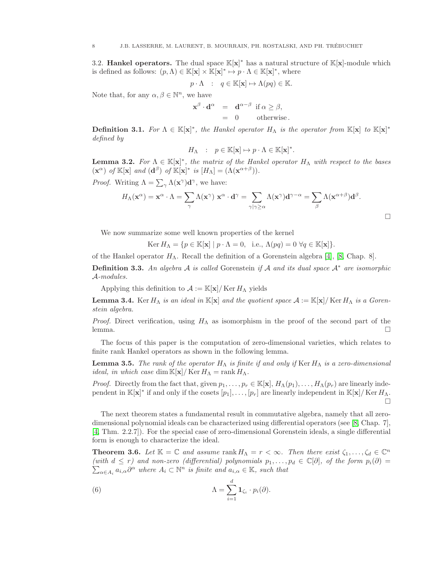3.2. Hankel operators. The dual space  $\mathbb{K}[x]^*$  has a natural structure of  $\mathbb{K}[x]$ -module which is defined as follows:  $(p, \Lambda) \in \mathbb{K}[\mathbf{x}] \times \mathbb{K}[\mathbf{x}]^* \mapsto p \cdot \Lambda \in \mathbb{K}[\mathbf{x}]^*$ , where

$$
p \cdot \Lambda \quad : \quad q \in \mathbb{K}[\mathbf{x}] \mapsto \Lambda(pq) \in \mathbb{K}.
$$

Note that, for any  $\alpha, \beta \in \mathbb{N}^n$ , we have

$$
\mathbf{x}^{\beta} \cdot \mathbf{d}^{\alpha} = \mathbf{d}^{\alpha - \beta} \text{ if } \alpha \ge \beta, \n= 0 \text{ otherwise.}
$$

**Definition 3.1.** For  $\Lambda \in \mathbb{K}[\mathbf{x}]^*$ , the Hankel operator  $H_{\Lambda}$  is the operator from  $\mathbb{K}[\mathbf{x}]$  to  $\mathbb{K}[\mathbf{x}]^*$ defined by

$$
H_\Lambda \quad \colon \quad p \in \mathbb{K}[\mathbf{x}] \mapsto p \cdot \Lambda \in \mathbb{K}[\mathbf{x}]^*.
$$

**Lemma 3.2.** For  $\Lambda \in \mathbb{K}[\mathbf{x}]^*$ , the matrix of the Hankel operator  $H_{\Lambda}$  with respect to the bases  $(\mathbf{x}^{\alpha})$  of  $\mathbb{K}[\mathbf{x}]$  and  $(\mathbf{d}^{\beta})$  of  $\mathbb{K}[\mathbf{x}]^*$  is  $[H_{\Lambda}]=(\Lambda(\mathbf{x}^{\alpha+\beta})).$ 

*Proof.* Writing  $\Lambda = \sum_{\gamma} \Lambda(x^{\gamma}) d^{\gamma}$ , we have:

$$
H_{\Lambda}(\mathbf{x}^{\alpha}) = \mathbf{x}^{\alpha} \cdot \Lambda = \sum_{\gamma} \Lambda(\mathbf{x}^{\gamma}) \mathbf{x}^{\alpha} \cdot \mathbf{d}^{\gamma} = \sum_{\gamma | \gamma \ge \alpha} \Lambda(\mathbf{x}^{\gamma}) \mathbf{d}^{\gamma - \alpha} = \sum_{\beta} \Lambda(\mathbf{x}^{\alpha + \beta}) \mathbf{d}^{\beta}.
$$

We now summarize some well known properties of the kernel

Ker  $H_{\Lambda} = \{p \in \mathbb{K}[\mathbf{x}] \mid p \cdot \Lambda = 0, \text{ i.e., } \Lambda(pq) = 0 \; \forall q \in \mathbb{K}[\mathbf{x}]\}.$ 

of the Hankel operator  $H_{\Lambda}$ . Recall the definition of a Gorenstein algebra [\[4\]](#page-20-14), [\[8,](#page-20-8) Chap. 8].

**Definition 3.3.** An algebra A is called Gorenstein if A and its dual space  $A^*$  are isomorphic A-modules.

Applying this definition to  $\mathcal{A} := \mathbb{K}[\mathbf{x}]/\mathbb{K}$ er  $H_{\Lambda}$  yields

<span id="page-7-0"></span>**Lemma 3.4.** Ker  $H_{\Lambda}$  is an ideal in  $\mathbb{K}[\mathbf{x}]$  and the quotient space  $\mathcal{A} := \mathbb{K}[\mathbf{x}]/K$ er  $H_{\Lambda}$  is a Gorenstein algebra.

*Proof.* Direct verification, using  $H_{\Lambda}$  as isomorphism in the proof of the second part of the  $l$ emma.  $\Box$ 

The focus of this paper is the computation of zero-dimensional varieties, which relates to finite rank Hankel operators as shown in the following lemma.

<span id="page-7-1"></span>**Lemma 3.5.** The rank of the operator  $H_{\Lambda}$  is finite if and only if Ker  $H_{\Lambda}$  is a zero-dimensional *ideal, in which case* dim  $\mathbb{K}[\mathbf{x}]/\mathbb{K}$ er  $H_{\Lambda}$  = rank  $H_{\Lambda}$ .

*Proof.* Directly from the fact that, given  $p_1,\ldots,p_r \in \mathbb{K}[\mathbf{x}], H_\Lambda(p_1),\ldots,H_\Lambda(p_r)$  are linearly independent in  $\mathbb{K}[\mathbf{x}]^*$  if and only if the cosets  $[p_1], \ldots, [p_r]$  are linearly independent in  $\mathbb{K}[\mathbf{x}]/K$ er  $H_\Lambda$ .  $\Box$ 

The next theorem states a fundamental result in commutative algebra, namely that all zerodimensional polynomial ideals can be characterized using differential operators (see [\[8,](#page-20-8) Chap. 7], [\[4,](#page-20-14) Thm. 2.2.7]). For the special case of zero-dimensional Gorenstein ideals, a single differential form is enough to characterize the ideal.

**Theorem 3.6.** Let  $\mathbb{K} = \mathbb{C}$  and assume rank  $H_{\Lambda} = r < \infty$ . Then there exist  $\zeta_1, \ldots, \zeta_d \in \mathbb{C}^n$  $\sum_{\alpha \in A_i} a_{i,\alpha} \partial^{\alpha}$  where  $A_i \subset \mathbb{N}^n$  is finite and  $a_{i,\alpha} \in \mathbb{K}$ , such that (with  $d \leq r$ ) and non-zero (differential) polynomials  $p_1, \ldots, p_d \in \mathbb{C}[\partial]$ , of the form  $p_i(\partial)$ 

(6) 
$$
\Lambda = \sum_{i=1}^d \mathbf{1}_{\zeta_i} \cdot p_i(\partial).
$$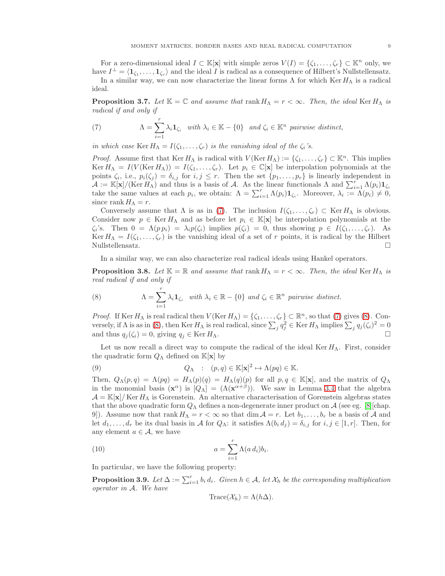For a zero-dimensional ideal  $I \subset \mathbb{K}[\mathbf{x}]$  with simple zeros  $V(I) = \{\zeta_1, \ldots, \zeta_r\} \subset \mathbb{K}^n$  only, we have  $I^{\perp} = \langle 1_{\zeta_1}, \ldots, 1_{\zeta_r} \rangle$  and the ideal I is radical as a consequence of Hilbert's Nullstellensatz. In a similar way, we can now characterize the linear forms  $\Lambda$  for which Ker  $H_{\Lambda}$  is a radical

ideal.

**Proposition 3.7.** Let  $\mathbb{K} = \mathbb{C}$  and assume that  $\text{rank } H_\Lambda = r < \infty$ . Then, the ideal Ker  $H_\Lambda$  is radical if and only if

<span id="page-8-0"></span>(7) 
$$
\Lambda = \sum_{i=1}^r \lambda_i \mathbf{1}_{\zeta_i} \quad \text{with } \lambda_i \in \mathbb{K} - \{0\} \quad \text{and } \zeta_i \in \mathbb{K}^n \text{ pairwise distinct,}
$$

in which case Ker  $H_{\Lambda} = I(\zeta_1,\ldots,\zeta_r)$  is the vanishing ideal of the  $\zeta_i$ 's.

*Proof.* Assume first that Ker  $H_{\Lambda}$  is radical with  $V(\text{Ker } H_{\Lambda}) := \{\zeta_1, \ldots, \zeta_r\} \subset \mathbb{K}^n$ . This implies Ker  $H_{\Lambda} = I(V(\text{Ker } H_{\Lambda})) = I(\zeta_1, \ldots, \zeta_r)$ . Let  $p_i \in \mathbb{C}[\mathbf{x}]$  be interpolation polynomials at the points  $\zeta_i$ , i.e.,  $p_i(\zeta_j) = \delta_{i,j}$  for  $i, j \leq r$ . Then the set  $\{p_1, \ldots, p_r\}$  is linearly independent in  $\mathcal{A} := \mathbb{K}[\mathbf{x}]/(\text{Ker } H_{\Lambda})$  and thus is a basis of A. As the linear functionals  $\Lambda$  and  $\sum_{i=1}^{r} \Lambda(p_i) \mathbf{1}_{\zeta_i}$ take the same values at each  $p_i$ , we obtain:  $\Lambda = \sum_{i=1}^r \Lambda(p_i) \mathbf{1}_{\zeta_i}$ . Moreover,  $\lambda_i := \Lambda(p_i) \neq 0$ , since rank  $H_{\Lambda} = r$ .

Conversely assume that  $\Lambda$  is as in [\(7\)](#page-8-0). The inclusion  $I(\zeta_1,\ldots,\zeta_r) \subset \text{Ker } H_\Lambda$  is obvious. Consider now  $p \in \text{Ker } H_\Lambda$  and as before let  $p_i \in \mathbb{K}[\mathbf{x}]$  be interpolation polynomials at the  $\zeta_i$ 's. Then  $0 = \Lambda(p p_i) = \lambda_i p(\zeta_i)$  implies  $p(\zeta_i) = 0$ , thus showing  $p \in I(\zeta_1, \ldots, \zeta_r)$ . As Ker  $H_{\Lambda} = I(\zeta_1,\ldots,\zeta_r)$  is the vanishing ideal of a set of r points, it is radical by the Hilbert Nullstellensatz.

In a similar way, we can also characterize real radical ideals using Hankel operators.

<span id="page-8-4"></span>**Proposition 3.8.** Let  $\mathbb{K} = \mathbb{R}$  and assume that  $\text{rank } H_\Lambda = r < \infty$ . Then, the ideal Ker  $H_\Lambda$  is real radical if and only if

<span id="page-8-1"></span>(8) 
$$
\Lambda = \sum_{i=1}^r \lambda_i \mathbf{1}_{\zeta_i} \quad \text{with } \lambda_i \in \mathbb{R} - \{0\} \text{ and } \zeta_i \in \mathbb{R}^n \text{ pairwise distinct.}
$$

*Proof.* If Ker  $H_{\Lambda}$  is real radical then  $V(\text{Ker } H_{\Lambda}) = \{\zeta_1, \ldots, \zeta_r\} \subset \mathbb{R}^n$ , so that [\(7\)](#page-8-0) gives [\(8\)](#page-8-1). Conversely, if  $\Lambda$  is as in [\(8\)](#page-8-1), then Ker  $H_{\Lambda}$  is real radical, since  $\sum_j q_j^2 \in \text{Ker } H_{\Lambda}$  implies  $\sum_j q_j(\zeta_i)^2 = 0$ and thus  $q_i(\zeta_i) = 0$ , giving  $q_i \in \text{Ker } H_\Lambda$ .

Let us now recall a direct way to compute the radical of the ideal Ker  $H_{\Lambda}$ . First, consider the quadratic form  $Q_{\Lambda}$  defined on  $\mathbb{K}[\mathbf{x}]$  by

<span id="page-8-5"></span>(9) 
$$
Q_{\Lambda}
$$
 :  $(p,q) \in \mathbb{K}[\mathbf{x}]^2 \mapsto \Lambda(pq) \in \mathbb{K}$ .

Then,  $Q_{\Lambda}(p,q) = \Lambda(pq) = H_{\Lambda}(p)(q) = H_{\Lambda}(q)(p)$  for all  $p,q \in \mathbb{K}[\mathbf{x}]$ , and the matrix of  $Q_{\Lambda}$ in the monomial basis  $({\bf x}^{\alpha})$  is  $[Q_{\Lambda}]=(\Lambda({\bf x}^{\alpha+\beta}))$ . We saw in Lemma [3.4](#page-7-0) that the algebra  $\mathcal{A} = \mathbb{K}[\mathbf{x}]/\text{Ker } H_\Lambda$  is Gorenstein. An alternative characterisation of Gorenstein algebras states that the above quadratic form  $Q_{\Lambda}$  defines a non-degenerate inner product on A (see eg. [\[8\]](#page-20-8)[chap. 9]). Assume now that  $\text{rank } H_\Lambda = r < \infty$  so that  $\dim \mathcal{A} = r$ . Let  $b_1, \ldots, b_r$  be a basis of A and let  $d_1,\ldots,d_r$  be its dual basis in A for  $Q_\Lambda$ : it satisfies  $\Lambda(b_i d_j) = \delta_{i,j}$  for  $i,j \in [1,r]$ . Then, for any element  $a \in \mathcal{A}$ , we have

(10) 
$$
a = \sum_{i=1}^{r} \Lambda(a d_i) b_i.
$$

In particular, we have the following property:

<span id="page-8-3"></span>**Proposition 3.9.** Let  $\Delta := \sum_{i=1}^r b_i d_i$ . Given  $h \in \mathcal{A}$ , let  $\mathcal{X}_h$  be the corresponding multiplication operator in A. We have

<span id="page-8-2"></span>
$$
\operatorname{Trace}(\mathcal{X}_h)=\Lambda(h\Delta).
$$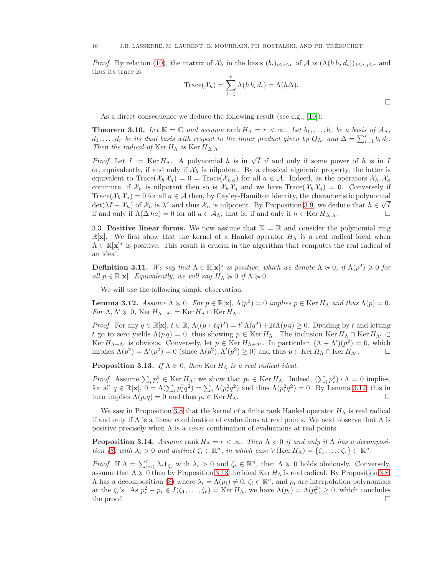*Proof.* By relation [\(10\)](#page-8-2), the matrix of  $\mathcal{X}_h$  in the basis  $(b_i)_{i\leq i\leq r}$  of A is  $(\Lambda(h b_j d_i))_{1\leq i,j\leq r}$  and thus its trace is

Trace
$$
(X_h)
$$
 =  $\sum_{i=1}^r \Lambda(h b_i d_i) = \Lambda(h\Delta).$ 

As a direct consequence we deduce the following result (see e.g., [\[10\]](#page-20-9)):

<span id="page-9-2"></span>**Theorem 3.10.** Let  $\mathbb{K} = \mathbb{C}$  and assume rank  $H_{\Lambda} = r < \infty$ . Let  $b_1, \ldots, b_r$  be a basis of  $\mathcal{A}_{\Lambda}$ ,  $d_1, \ldots, d_r$  be its dual basis with respect to the inner product given by  $Q_{\Lambda}$ , and  $\Delta = \sum_{i=1}^r b_i d_i$ . Then the radical of Ker  $H_{\Lambda}$  is Ker  $H_{\Delta\cdot\Lambda}$ .

*Proof.* Let  $I := \text{Ker } H_\Lambda$ . A polynomial h is in  $\sqrt{I}$  if and only if some power of h is in I or, equivalently, if and only if  $\mathcal{X}_h$  is nilpotent. By a classical algebraic property, the latter is equivalent to Trace( $\mathcal{X}_h$ , $\mathcal{X}_a$ ) = 0 = Trace( $\mathcal{X}_h$ , a) for all  $a \in \mathcal{A}$ . Indeed, as the operators  $\mathcal{X}_h$ ,  $\mathcal{X}_a$ commute, if  $\mathcal{X}_h$  is nilpotent then so is  $\mathcal{X}_h \mathcal{X}_a$  and we have  $Trace(\mathcal{X}_h \mathcal{X}_a) = 0$ . Conversely if Trace( $\mathcal{X}_h\mathcal{X}_a$ ) = 0 for all  $a \in \mathcal{A}$  then, by Cayley-Hamilton identity, the characteristic polynomial  $\det(\lambda I - \lambda h)$  of  $\lambda h$  is  $\lambda^r$  and thus  $\lambda h$  is nilpotent. By Proposition [3.9,](#page-8-3) we deduce that  $h \in \sqrt{I}$ if and only if  $\Lambda(\Delta ha) = 0$  for all  $a \in A_\Lambda$ , that is, if and only if  $h \in \text{Ker } H_{\Delta \Lambda}$ .

3.3. Positive linear forms. We now assume that  $\mathbb{K} = \mathbb{R}$  and consider the polynomial ring  $\mathbb{R}[\mathbf{x}]$ . We first show that the kernel of a Hankel operator  $H_{\Lambda}$  is a real radical ideal when  $\Lambda \in \mathbb{R}[\mathbf{x}]^*$  is positive. This result is crucial in the algorithm that computes the real radical of an ideal.

**Definition 3.11.** We say that  $\Lambda \in \mathbb{R}[\mathbf{x}]^*$  is positive, which we denote  $\Lambda \geq 0$ , if  $\Lambda(p^2) \geq 0$  for all  $p \in \mathbb{R}[\mathbf{x}]$ . Equivalently, we will say  $H_{\Lambda} \succcurlyeq 0$  if  $\Lambda \succcurlyeq 0$ .

We will use the following simple observation.

<span id="page-9-0"></span>**Lemma 3.12.** Assume  $\Lambda \ge 0$ . For  $p \in \mathbb{R}[\mathbf{x}]$ ,  $\Lambda(p^2) = 0$  implies  $p \in \text{Ker } H_\Lambda$  and thus  $\Lambda(p) = 0$ . For  $\Lambda, \Lambda' \geq 0$ , Ker  $H_{\Lambda+\Lambda'} =$  Ker  $H_{\Lambda} \cap$  Ker  $H_{\Lambda'}$ .

*Proof.* For any  $q \in \mathbb{R}[\mathbf{x}], t \in \mathbb{R}, \Lambda((p+tq)^2) = t^2\Lambda(q^2) + 2t\Lambda(p q) \geq 0$ . Dividing by t and letting t go to zero yields  $\Lambda(p q) = 0$ , thus showing  $p \in \text{Ker } H_\Lambda$ . The inclusion  $\text{Ker } H_\Lambda \cap \text{Ker } H_{\Lambda'} \subset$ Ker  $H_{\Lambda+\Lambda'}$  is obvious. Conversely, let  $p \in \text{Ker } H_{\Lambda+\Lambda'}$ . In particular,  $(\Lambda+\Lambda')({p^2})=0$ , which implies  $\Lambda(p^2) = \Lambda'(p^2) = 0$  (since  $\Lambda(p^2), \Lambda'(p^2) \ge 0$ ) and thus  $p \in \text{Ker } H_\Lambda \cap \text{Ker } H_{\Lambda'}$ .

<span id="page-9-1"></span>**Proposition 3.13.** If  $\Lambda \geq 0$ , then Ker  $H_{\Lambda}$  is a real radical ideal.

*Proof.* Assume  $\sum_i p_i^2 \in \text{Ker } H_\Lambda$ ; we show that  $p_i \in \text{Ker } H_\Lambda$ . Indeed,  $(\sum_i p_i^2) \cdot \Lambda = 0$  implies, for all  $q \in \mathbb{R}[\mathbf{x}], \overline{0} = \Lambda(\sum_i p_i^2 q^2) = \sum_i \Lambda(p_i^2 q^2)$  and thus  $\Lambda(p_i^2 q^2) = 0$ . By Lemma [3.12,](#page-9-0) this in turn implies  $\Lambda(p_i q) = 0$  and thus  $p_i \in \text{Ker } H_\Lambda$ .

We saw in Proposition [3.8](#page-8-4) that the kernel of a finite rank Hankel operator  $H_{\Lambda}$  is real radical if and only if  $\Lambda$  is a linear combination of evaluations at real points. We next observe that  $\Lambda$  is positive precisely when  $\Lambda$  is a *conic* combination of evaluations at real points.

**Proposition 3.14.** Assume rank  $H_{\Lambda} = r < \infty$ . Then  $\Lambda \geq 0$  if and only if  $\Lambda$  has a decomposi-tion [\(8\)](#page-8-1) with  $\lambda_i > 0$  and distinct  $\zeta_i \in \mathbb{R}^n$ , in which case  $V(\text{Ker } H_\Lambda) = \{\zeta_1, \ldots, \zeta_r\} \subset \mathbb{R}^n$ .

Proof. If  $\Lambda = \sum_{i=1}^r \lambda_i \mathbf{1}_{\zeta_i}$  with  $\lambda_i > 0$  and  $\zeta_i \in \mathbb{R}^n$ , then  $\Lambda \geq 0$  holds obviously. Conversely, assume that  $\Lambda \geq 0$  then by Proposition [3.13](#page-9-1) the ideal Ker  $H_{\Lambda}$  is real radical. By Proposition [3.8,](#page-8-4)  $\Lambda$  has a decomposition [\(8\)](#page-8-1) where  $\lambda_i = \Lambda(p_i) \neq 0$ ,  $\zeta_i \in \mathbb{R}^n$ , and  $p_i$  are interpolation polynomials at the  $\zeta_i$ 's. As  $p_i^2 - p_i \in I(\zeta_1, \ldots, \zeta_r) = \text{Ker } H_\Lambda$ , we have  $\Lambda(p_i) = \Lambda(p_i^2) \geq 0$ , which concludes the proof.  $\Box$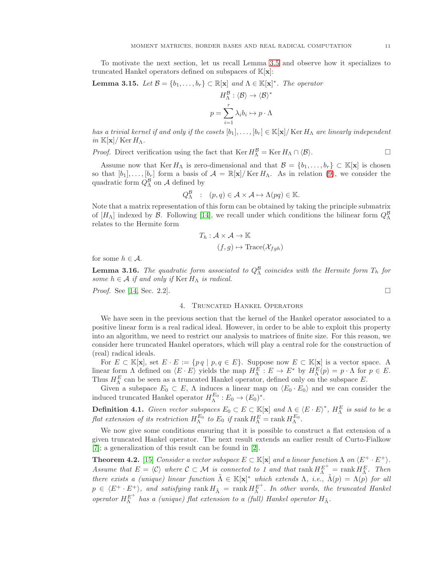To motivate the next section, let us recall Lemma [3.5](#page-7-1) and observe how it specializes to truncated Hankel operators defined on subspaces of  $\mathbb{K}[\mathbf{x}]$ :

**Lemma 3.15.** Let 
$$
\mathcal{B} = \{b_1, \ldots, b_r\} \subset \mathbb{R}[\mathbf{x}]
$$
 and  $\Lambda \in \mathbb{K}[\mathbf{x}]^*$ . The operator

$$
H_{\Lambda}^{\mathcal{B}} : \langle \mathcal{B} \rangle \to \langle \mathcal{B} \rangle^*
$$

$$
p = \sum_{i=1}^{r} \lambda_i b_i \mapsto p \cdot \Lambda
$$

has a trivial kernel if and only if the cosets  $[b_1], \ldots, [b_r] \in \mathbb{K}[\mathbf{x}] / \text{Ker } H_\Lambda$  are linearly independent in  $\mathbb{K}[\mathbf{x}]/\operatorname{Ker} H_{\Lambda}$ .

*Proof.* Direct verification using the fact that  $\text{Ker } H_{\Lambda}^{\mathcal{B}} = \text{Ker } H_{\Lambda} \cap \langle \mathcal{B} \rangle$ .

Assume now that Ker  $H_{\Lambda}$  is zero-dimensional and that  $\mathcal{B} = \{b_1, \ldots, b_r\} \subset \mathbb{K}[\mathbf{x}]$  is chosen so that  $[b_1], \ldots, [b_r]$  form a basis of  $\mathcal{A} = \mathbb{R}[\mathbf{x}]/\text{Ker } H_\Lambda$ . As in relation [\(9\)](#page-8-5), we consider the quadratic form  $Q_{\Lambda}^{\mathcal{B}}$  on  $\mathcal{A}$  defined by

$$
Q_{\Lambda}^{\mathcal{B}} : (p,q) \in \mathcal{A} \times \mathcal{A} \mapsto \Lambda(pq) \in \mathbb{K}.
$$

Note that a matrix representation of this form can be obtained by taking the principle submatrix of  $[H<sub>\Lambda</sub>]$  indexed by  $\mathcal{B}$ . Following [\[14\]](#page-20-15), we recall under which conditions the bilinear form  $Q<sub>\Lambda</sub><sup>\mathcal{B}</sup>$ relates to the Hermite form

$$
T_h: \mathcal{A} \times \mathcal{A} \to \mathbb{K}
$$

$$
(f, g) \mapsto \text{Trace}(\mathcal{X}_{fgh})
$$

for some  $h \in \mathcal{A}$ .

**Lemma 3.16.** The quadratic form associated to  $Q_{\Lambda}^{\mathcal{B}}$  coincides with the Hermite form  $T_h$  for some  $h \in \mathcal{A}$  if and only if  $\text{Ker } H_\Lambda$  is radical.

<span id="page-10-0"></span>*Proof.* See [\[14,](#page-20-15) Sec. 2.2].

## 4. Truncated Hankel Operators

We have seen in the previous section that the kernel of the Hankel operator associated to a positive linear form is a real radical ideal. However, in order to be able to exploit this property into an algorithm, we need to restrict our analysis to matrices of finite size. For this reason, we consider here truncated Hankel operators, which will play a central role for the construction of (real) radical ideals.

For  $E \subset \mathbb{K}[\mathbf{x}]$ , set  $E \cdot E := \{pq \mid p, q \in E\}$ . Suppose now  $E \subset \mathbb{K}[\mathbf{x}]$  is a vector space. A linear form  $\Lambda$  defined on  $\langle E \cdot E \rangle$  yields the map  $H_{\Lambda}^{E}: E \to E^*$  by  $H_{\Lambda}^{E}(p) = p \cdot \Lambda$  for  $p \in E$ . Thus  $H_{\Lambda}^{E}$  can be seen as a truncated Hankel operator, defined only on the subspace E.

Given a subspace  $E_0 \subset E$ ,  $\Lambda$  induces a linear map on  $\langle E_0 \cdot E_0 \rangle$  and we can consider the induced truncated Hankel operator  $H_{\Lambda}^{E_0}: E_0 \to (E_0)^*$ .

**Definition 4.1.** Given vector subspaces  $E_0 \subset E \subset \mathbb{K}[\mathbf{x}]$  and  $\Lambda \in \langle E \cdot E \rangle^*$ ,  $H_{\Lambda}^E$  is said to be a flat extension of its restriction  $H_{\Lambda}^{E_0}$  to  $E_0$  if  $\text{rank } H_{\Lambda}^E = \text{rank } H_{\Lambda}^{E_0}$ .

We now give some conditions ensuring that it is possible to construct a flat extension of a given truncated Hankel operator. The next result extends an earlier result of Curto-Fialkow [\[7\]](#page-20-16); a generalization of this result can be found in [\[2\]](#page-20-17).

**Theorem 4.2.** [\[15\]](#page-20-18) Consider a vector subspace  $E \subset \mathbb{K}[\mathbf{x}]$  and a linear function  $\Lambda$  on  $\langle E^+ \cdot E^+ \rangle$ . Assume that  $E = \langle C \rangle$  where  $C \subset \mathcal{M}$  is connected to 1 and that rank  $H_{\Lambda}^{E^+} = \text{rank } H_{\Lambda}^E$ . Then there exists a (unique) linear function  $\tilde{\Lambda} \in \mathbb{K}[\mathbf{x}]^*$  which extends  $\Lambda$ , i.e.,  $\tilde{\Lambda}(p) = \Lambda(p)$  for all  $p \in \langle E^+ \cdot E^+ \rangle$ , and satisfying  $\text{rank } H_{\tilde{\Lambda}} = \text{rank } H_{\Lambda}^{E^+}$ . In other words, the truncated Hankel operator  $H_{\Lambda}^{E^+}$  has a (unique) flat extension to a (full) Hankel operator  $H_{\tilde{\Lambda}}$ .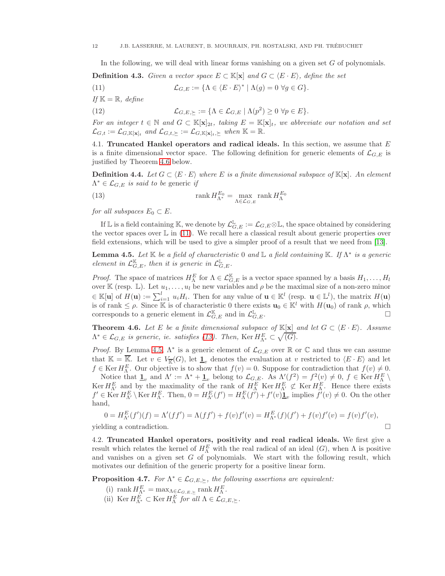<span id="page-11-1"></span>In the following, we will deal with linear forms vanishing on a given set  $G$  of polynomials.

**Definition 4.3.** Given a vector space  $E \subset \mathbb{K}[\mathbf{x}]$  and  $G \subset \langle E \cdot E \rangle$ , define the set

(11) 
$$
\mathcal{L}_{G,E} := \{ \Lambda \in \langle E \cdot E \rangle^* \mid \Lambda(g) = 0 \ \forall g \in G \}.
$$

If  $\mathbb{K} = \mathbb{R}$ , define

(12) 
$$
\mathcal{L}_{G,E,\succeq} := \{ \Lambda \in \mathcal{L}_{G,E} \mid \Lambda(p^2) \geq 0 \ \forall p \in E \}.
$$

For an integer  $t \in \mathbb{N}$  and  $G \subset \mathbb{K}[\mathbf{x}]_{2t}$ , taking  $E = \mathbb{K}[\mathbf{x}]_t$ , we abbreviate our notation and set  $\mathcal{L}_{G,t} := \mathcal{L}_{G,\mathbb{K}[\mathbf{x}]_t}$  and  $\mathcal{L}_{G,t,\succeq} := \mathcal{L}_{G,\mathbb{K}[\mathbf{x}]_t,\succeq}$  when  $\mathbb{K} = \mathbb{R}$ .

4.1. Truncated Hankel operators and radical ideals. In this section, we assume that E is a finite dimensional vector space. The following definition for generic elements of  $\mathcal{L}_{G,E}$  is justified by Theorem [4.6](#page-11-0) below.

**Definition 4.4.** Let  $G \subset \langle E \cdot E \rangle$  where E is a finite dimensional subspace of  $\mathbb{K}[\mathbf{x}]$ . An element  $\Lambda^* \in \mathcal{L}_{G,E}$  is said to be generic if

<span id="page-11-2"></span>(13) 
$$
\operatorname{rank} H_{\Lambda^*}^{E_0} = \max_{\Lambda \in \mathcal{L}_{G,E}} \operatorname{rank} H_{\Lambda}^{E_0}
$$

for all subspaces  $E_0 \subset E$ .

If  $\mathbb L$  is a field containing K, we denote by  $\mathcal L_{G,E}^{\mathbb L}:=\mathcal L_{G,E}\otimes\mathbb L,$  the space obtained by considering the vector spaces over  $\mathbb L$  in [\(11\)](#page-11-1). We recall here a classical result about generic properties over field extensions, which will be used to give a simpler proof of a result that we need from [\[13\]](#page-20-19).

<span id="page-11-3"></span>**Lemma 4.5.** Let K be a field of characteristic 0 and L a field containing K. If  $\Lambda^*$  is a generic element in  $\mathcal{L}_{G,E}^{\mathbb{K}}$ , then it is generic in  $\mathcal{L}_{G,E}^{\mathbb{L}}$ .

*Proof.* The space of matrices  $H_{\Lambda}^{E}$  for  $\Lambda \in \mathcal{L}_{G,E}^{\mathbb{K}}$  is a vector space spanned by a basis  $H_1, \ldots, H_l$ over K (resp. L). Let  $u_1, \ldots, u_l$  be new variables and  $\rho$  be the maximal size of a non-zero minor  $\in \mathbb{K}[\mathbf{u}]$  of  $H(\mathbf{u}) := \sum_{i=1}^l u_i H_i$ . Then for any value of  $\mathbf{u} \in \mathbb{K}^l$  (resp.  $\mathbf{u} \in \mathbb{L}^l$ ), the matrix  $H(\mathbf{u})$ is of rank  $\leq \rho$ . Since K is of characteristic 0 there exists  $\mathbf{u}_0 \in \mathbb{K}^l$  with  $H(\mathbf{u}_0)$  of rank  $\rho$ , which corresponds to a generic element in  $\mathcal{L}_{G, E}^{\mathbb{K}}$  and in  $\mathcal{L}_{G}^{\mathbb{L}}$  $\mathbb{L}_{G,E}.$ 

<span id="page-11-0"></span>**Theorem 4.6.** Let E be a finite dimensional subspace of  $\mathbb{K}[\mathbf{x}]$  and let  $G \subset \langle E \cdot E \rangle$ . Assume  $\Lambda^* \in \mathcal{L}_{G,E}$  is generic, ie. satisfies [\(13\)](#page-11-2). Then, Ker  $H_{\Lambda^*}^E \subset \sqrt{(G)}$ .

*Proof.* By Lemma [4.5,](#page-11-3)  $\Lambda^*$  is a generic element of  $\mathcal{L}_{G,E}$  over  $\mathbb R$  or  $\mathbb C$  and thus we can assume that  $\mathbb{K} = \overline{\mathbb{K}}$ . Let  $v \in V_{\overline{\mathbb{K}}}(G)$ , let  $\underline{1}_v$  denotes the evaluation at v restricted to  $\langle E \cdot E \rangle$  and let  $f \in \text{Ker } H_{\Lambda}^{E}$ . Our objective is to show that  $f(v) = 0$ . Suppose for contradiction that  $f(v) \neq 0$ .

Notice that  $\underline{\mathbf{1}}_v$  and  $\Lambda' := \Lambda^* + \underline{\mathbf{1}}_v$  belong to  $\mathcal{L}_{G,E}$ . As  $\Lambda'(f^2) = f^2(v) \neq 0, f \in \text{Ker } H_K^E \setminus \text{Ker } H_{\Lambda'}^E$  and by the maximality of the rank of  $H_{\Lambda}^E$  Ker  $H_{\Lambda'}^E \not\subset \text{Ker } H_{\Lambda}^E$ . Hence there e  $f' \in \text{Ker } H_{\Lambda'}^E \setminus \text{Ker } H_{\Lambda}^E$ . Then,  $0 = H_{\Lambda'}^E(f') = H_{\Lambda}^E(f') + f'(v) \underline{\mathbf{1}}_v$  implies  $f'(v) \neq 0$ . On the other hand,

$$
0 = H_{\Lambda'}^{E}(f')(f) = \Lambda'(ff') = \Lambda(ff') + f(v)f'(v) = H_{\Lambda^*}^{E}(f)(f') + f(v)f'(v) = f(v)f'(v),
$$

 $y$ ielding a contradiction.  $\Box$ 

4.2. Truncated Hankel operators, positivity and real radical ideals. We first give a result which relates the kernel of  $H_{\Lambda}^{E}$  with the real radical of an ideal  $(G)$ , when  $\Lambda$  is positive and vanishes on a given set  $G$  of polynomials. We start with the following result, which motivates our definition of the generic property for a positive linear form.

<span id="page-11-4"></span>**Proposition 4.7.** For  $\Lambda^* \in \mathcal{L}_{G,E,\succ}$ , the following assertions are equivalent:

- (i) rank  $H_{\Lambda^*}^E = \max_{\Lambda \in \mathcal{L}_{G,E,\succeq}} \text{rank } H_{\Lambda}^E.$
- (ii) Ker  $H_{\Lambda^*}^E \subset \text{Ker } H_{\Lambda}^E$  for all  $\Lambda \in \mathcal{L}_{G,E,\succeq}$ .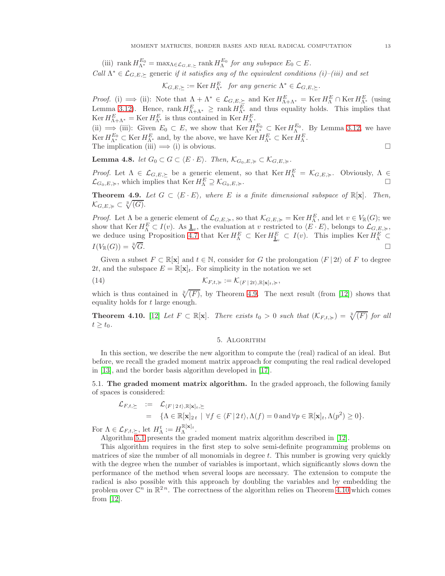(iii) rank  $H_{\Lambda^*}^{E_0} = \max_{\Lambda \in \mathcal{L}_{G,E,\succeq}} \text{rank } H_{\Lambda}^{E_0}$  for any subspace  $E_0 \subset E$ . Call  $\Lambda^* \in \mathcal{L}_{G,E,\succ}$  generic if it satisfies any of the equivalent conditions (i)–(iii) and set

 $\mathcal{K}_{G,E,\succeq} := \text{Ker } H_{\Lambda^*}^E$  for any generic  $\Lambda^* \in \mathcal{L}_{G,E,\succeq}$ .

*Proof.* (i)  $\implies$  (ii): Note that  $\Lambda + \Lambda^* \in \mathcal{L}_{G,E,\succeq}$  and Ker  $H_{\Lambda+\Lambda^*}^E = \text{Ker } H_{\Lambda}^E \cap \text{Ker } H_{\Lambda^*}^E$  (using Lemma [3.12\)](#page-9-0). Hence, rank  $H_{\Lambda+\Lambda^*}^E \ge \text{rank } H_{\Lambda^*}^E$  and thus equality holds. This implies that  $\operatorname{Ker} H_{\Lambda+\Lambda^*}^E = \operatorname{Ker} H_{\Lambda^*}^E$  is thus contained in  $\operatorname{Ker} H_{\Lambda}^E$ .

(ii)  $\Rightarrow$  (iii): Given  $E_0 \subset E$ , we show that Ker  $H_{\Lambda^*}^{E_0} \subset \text{Ker } H_{\Lambda}^{E_0}$ . By Lemma [3.12,](#page-9-0) we have  $\operatorname{Ker} H_{\Lambda^*}^{E_0} \subset \operatorname{Ker} H_{\Lambda^*}^{E}$  and, by the above, we have  $\operatorname{Ker} H_{\Lambda^*}^{E} \subset \operatorname{Ker} H_{\Lambda}^{E}$ . The implication (iii)  $\implies$  (i) is obvious.

<span id="page-12-4"></span>**Lemma 4.8.** let  $G_0 \subset G \subset \langle E \cdot E \rangle$ . Then,  $\mathcal{K}_{G_0,E,\succcurlyeq} \subset \mathcal{K}_{G,E,\succcurlyeq}$ .

*Proof.* Let  $\Lambda \in \mathcal{L}_{G,E,\succeq}$  be a generic element, so that  $\text{Ker } H_{\Lambda}^E = \mathcal{K}_{G,E,\succeq}$ . Obviously,  $\Lambda \in$  $\mathcal{L}_{G_0,E,\succcurlyeq}$ , which implies that Ker  $H_{\Lambda}^E \supseteq \mathcal{K}_{G_0,E,\succcurlyeq}$ .

<span id="page-12-1"></span>**Theorem 4.9.** Let  $G \subset \langle E \cdot E \rangle$ , where E is a finite dimensional subspace of  $\mathbb{R}[\mathbf{x}]$ . Then,  $\mathcal{K}_{G,E,\succcurlyeq} \subset \sqrt[\mathbb{R}]{(G)}.$ 

*Proof.* Let  $\Lambda$  be a generic element of  $\mathcal{L}_{G,E,\succcurlyeq}$ , so that  $\mathcal{K}_{G,E,\succcurlyeq} = \text{Ker } H_{\Lambda}^E$ , and let  $v \in V_{\mathbb{R}}(G)$ ; we show that  $\text{Ker } H_0^E \subset I(v)$ . As  $\underline{\mathbf{1}}_v$ , the evaluation at v restricted to  $\langle E \cdot E \rangle$ , belongs to  $\mathcal{L}_{G,E} \geqslant$ we deduce using Proposition [4.7](#page-11-4) that  $\text{Ker } H_{\Lambda}^{E} \subset \text{Ker } H_{\mathbb{L}_{v}}^{E} \subset I(v)$ . This implies  $\text{Ker } H_{\Lambda}^{E} \subset I(\mathbb{V}_{\mathbb{R}}(G)) = \sqrt[3]{G}$ .

Given a subset  $F \subset \mathbb{R}[\mathbf{x}]$  and  $t \in \mathbb{N}$ , consider for G the prolongation  $\langle F | 2t \rangle$  of F to degree 2t, and the subspace  $E = \mathbb{R}[\mathbf{x}]_t$ . For simplicity in the notation we set

(14) 
$$
\mathcal{K}_{F,t,\succcurlyeq} := \mathcal{K}_{\langle F | 2t \rangle, \mathbb{R}[\mathbf{x}]_t, \succcurlyeq},
$$

which is thus contained in  $\sqrt[R]{(F)}$ , by Theorem [4.9.](#page-12-1) The next result (from [\[12\]](#page-20-1)) shows that equality holds for t large enough.

<span id="page-12-3"></span><span id="page-12-0"></span>**Theorem 4.10.** [\[12\]](#page-20-1) Let  $F \subset \mathbb{R}[\mathbf{x}]$ . There exists  $t_0 > 0$  such that  $(\mathcal{K}_{F,t,\geq}) = \sqrt[\mathbb{R}]{(F)}$  for all  $t \geq t_0$ .

# 5. Algorithm

In this section, we describe the new algorithm to compute the (real) radical of an ideal. But before, we recall the graded moment matrix approach for computing the real radical developed in [\[13\]](#page-20-19), and the border basis algorithm developed in [\[17\]](#page-20-0).

5.1. The graded moment matrix algorithm. In the graded approach, the following family of spaces is considered:

$$
\mathcal{L}_{F,t,\succeq} := \mathcal{L}_{\langle F | 2t \rangle, \mathbb{R}[\mathbf{x}]_t, \succeq} \n= \{ \Lambda \in \mathbb{R}[\mathbf{x}]_{2t} \mid \forall f \in \langle F | 2t \rangle, \Lambda(f) = 0 \text{ and } \forall p \in \mathbb{R}[\mathbf{x}]_t, \Lambda(p^2) \geq 0 \}.
$$

For  $\Lambda \in \mathcal{L}_{F,t,\succeq}$ , let  $H_{\Lambda}^t := H_{\Lambda}^{\mathbb{R}[\mathbf{x}]_t}$ .

Algorithm [5.1](#page-12-2) presents the graded moment matrix algorithm described in [\[12\]](#page-20-1).

<span id="page-12-2"></span>This algorithm requires in the first step to solve semi-definite programming problems on matrices of size the number of all monomials in degree  $t$ . This number is growing very quickly with the degree when the number of variables is important, which significantly slows down the performance of the method when several loops are necessary. The extension to compute the radical is also possible with this approach by doubling the variables and by embedding the problem over  $\mathbb{C}^n$  in  $\mathbb{R}^{2n}$ . The correctness of the algorithm relies on Theorem [4.10](#page-12-3) which comes from [\[12\]](#page-20-1).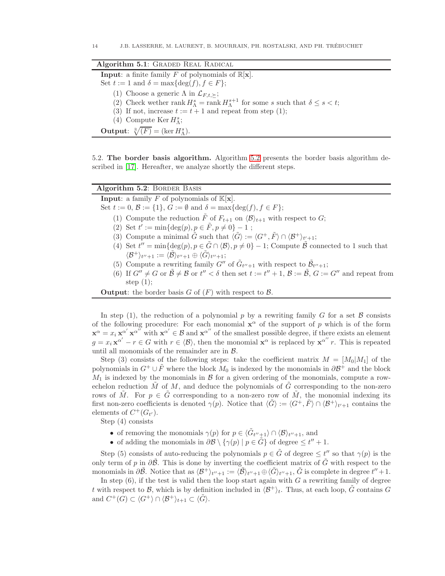| Algorithm 5.1: GRADED REAL RADICAL                                                                                  |
|---------------------------------------------------------------------------------------------------------------------|
| <b>Input:</b> a finite family F of polynomials of $\mathbb{R}[\mathbf{x}]$ .                                        |
| Set $t := 1$ and $\delta = \max\{\deg(f), f \in F\};$                                                               |
| (1) Choose a generic $\Lambda$ in $\mathcal{L}_{F,t,\succ};$                                                        |
| (2) Check wether rank $H_{\Lambda}^{s} = \text{rank } H_{\Lambda}^{s+1}$ for some s such that $\delta \leq s < t$ ; |
| (3) If not, increase $t := t + 1$ and repeat from step (1);                                                         |
| (4) Compute Ker $H_{\Lambda}^{s}$ ;                                                                                 |
| <b>Output:</b> $\sqrt[R]{(F)} = (\ker H_{\Lambda}^s)$ .                                                             |

5.2. The border basis algorithm. Algorithm [5.2](#page-13-0) presents the border basis algorithm described in [\[17\]](#page-20-0). Hereafter, we analyze shortly the different steps.

<span id="page-13-0"></span>

| Algorithm 5.2: BORDER BASIS                                                                                                                                              |
|--------------------------------------------------------------------------------------------------------------------------------------------------------------------------|
| <b>Input:</b> a family F of polynomials of $\mathbb{K}[\mathbf{x}]$ .                                                                                                    |
| Set $t := 0$ , $\mathcal{B} := \{1\}$ , $G := \emptyset$ and $\delta = \max\{\deg(f), f \in F\}$ ;                                                                       |
| (1) Compute the reduction $\tilde{F}$ of $F_{t+1}$ on $\langle \mathcal{B} \rangle_{t+1}$ with respect to $G$ ;                                                          |
| (2) Set $t' := \min\{\deg(p), p \in \tilde{F}, p \neq 0\} - 1$ ;                                                                                                         |
| (3) Compute a minimal $\tilde{G}$ such that $\langle \tilde{G} \rangle := \langle G^+, \tilde{F} \rangle \cap \langle \mathcal{B}^+ \rangle_{t'+1};$                     |
| (4) Set $t'' = \min\{\deg(p), p \in \tilde{G} \cap \langle \mathcal{B} \rangle, p \neq 0\} - 1$ ; Compute $\tilde{\mathcal{B}}$ connected to 1 such that                 |
| $\langle \mathcal{B}^+\rangle_{t''+1} := \langle \mathcal{B}\rangle_{t''+1} \oplus \langle G\rangle_{t''+1};$                                                            |
| (5) Compute a rewriting family $G''$ of $\tilde{G}_{t''+1}$ with respect to $\mathcal{B}_{t''+1}$ ;                                                                      |
| (6) If $G'' \neq G$ or $\tilde{\mathcal{B}} \neq \mathcal{B}$ or $t'' < \delta$ then set $t := t'' + 1$ , $\mathcal{B} := \tilde{\mathcal{B}}, G := G''$ and repeat from |
| step $(1)$ ;                                                                                                                                                             |
| <b>Output:</b> the border basis $G$ of $(F)$ with respect to $\beta$ .                                                                                                   |

In step (1), the reduction of a polynomial p by a rewriting family G for a set  $\beta$  consists of the following procedure: For each monomial  $x^{\alpha}$  of the support of p which is of the form  $\mathbf{x}^{\alpha} = x_i \mathbf{x}^{\alpha'} \mathbf{x}^{\alpha''}$  with  $\mathbf{x}^{\alpha'} \in \mathcal{B}$  and  $\mathbf{x}^{\alpha''}$  of the smallest possible degree, if there exists an element  $g = x_i \mathbf{x}^{\alpha'} - r \in G$  with  $r \in \langle \mathcal{B} \rangle$ , then the monomial  $\mathbf{x}^{\alpha}$  is replaced by  $\mathbf{x}^{\alpha''} r$ . This is repeated until all monomials of the remainder are in B.

Step (3) consists of the following steps: take the coefficient matrix  $M = [M_0|M_1]$  of the polynomials in  $G^+ \cup \tilde{F}$  where the block  $M_0$  is indexed by the monomials in  $\partial \mathcal{B}^+$  and the block  $M_1$  is indexed by the monomials in  $\beta$  for a given ordering of the monomials, compute a rowechelon reduction  $\tilde{M}$  of M, and deduce the polynomials of  $\tilde{G}$  corresponding to the non-zero rows of  $\tilde{M}$ . For  $p \in \tilde{G}$  corresponding to a non-zero row of  $\tilde{M}$ , the monomial indexing its first non-zero coefficients is denoted  $\gamma(p)$ . Notice that  $\langle \tilde{G} \rangle := \langle G^+, \tilde{F} \rangle \cap \langle \mathcal{B}^+ \rangle_{t'+1}$  contains the elements of  $C^+(G_{t'})$ .

Step (4) consists

- of removing the monomials  $\gamma(p)$  for  $p \in \langle \tilde{G}_{t''+1} \rangle \cap \langle \mathcal{B} \rangle_{t''+1}$ , and
- of adding the monomials in  $\partial \mathcal{B} \setminus {\gamma(p) | p \in \tilde{G}}$  of degree  $\leq t'' + 1$ .

Step (5) consists of auto-reducing the polynomials  $p \in \tilde{G}$  of degree  $\leq t''$  so that  $\gamma(p)$  is the only term of p in  $\partial\tilde{\beta}$ . This is done by inverting the coefficient matrix of  $\tilde{G}$  with respect to the monomials in  $\partial \tilde{\mathcal{B}}$ . Notice that as  $\langle \mathcal{B}^+ \rangle_{t''+1} := \langle \tilde{\mathcal{B}} \rangle_{t''+1} \oplus \langle \tilde{G} \rangle_{t''+1}, \tilde{G}$  is complete in degree  $t''+1$ .

In step  $(6)$ , if the test is valid then the loop start again with G a rewriting family of degree t with respect to B, which is by definition included in  $\langle B^+\rangle_t$ . Thus, at each loop,  $\tilde{G}$  contains G and  $C^+(G) \subset \langle G^+ \rangle \cap \langle \mathcal{B}^+ \rangle_{t+1} \subset \langle \tilde{G} \rangle$ .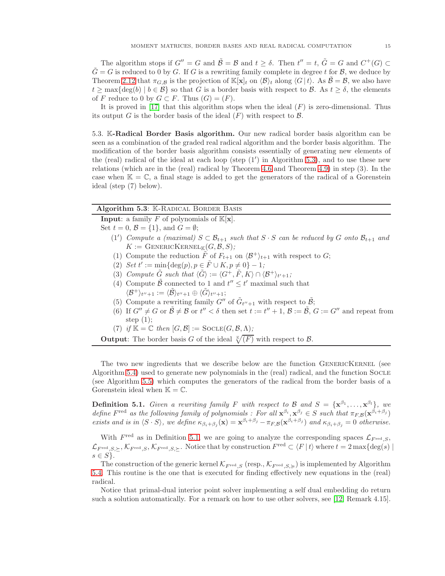The algorithm stops if  $G'' = G$  and  $\tilde{B} = B$  and  $t \ge \delta$ . Then  $t'' = t$ ,  $\tilde{G} = G$  and  $C^+(G) \subset$  $\tilde{G} = G$  is reduced to 0 by G. If G is a rewriting family complete in degree t for  $\mathcal{B}$ , we deduce by Theorem [2.12](#page-5-1) that  $\pi_{G,\mathcal{B}}$  is the projection of  $\mathbb{K}[\mathbf{x}]_t$  on  $\langle \mathcal{B} \rangle_t$  along  $\langle G | t \rangle$ . As  $\tilde{\mathcal{B}} = \mathcal{B}$ , we also have  $t \ge \max\{\deg(b) \mid b \in \mathcal{B}\}\$  so that G is a border basis with respect to B. As  $t \ge \delta$ , the elements of F reduce to 0 by  $G \subset F$ . Thus  $(G)=(F)$ .

It is proved in [\[17\]](#page-20-0) that this algorithm stops when the ideal  $(F)$  is zero-dimensional. Thus its output G is the border basis of the ideal  $(F)$  with respect to  $\beta$ .

5.3. K-Radical Border Basis algorithm. Our new radical border basis algorithm can be seen as a combination of the graded real radical algorithm and the border basis algorithm. The modification of the border basis algorithm consists essentially of generating new elements of the (real) radical of the ideal at each loop (step  $(1')$  in Algorithm [5.3\)](#page-14-0), and to use these new relations (which are in the (real) radical by Theorem [4.6](#page-11-0) and Theorem [4.9\)](#page-12-1) in step (3). In the case when  $\mathbb{K} = \mathbb{C}$ , a final stage is added to get the generators of the radical of a Gorenstein ideal (step (7) below).

## <span id="page-14-0"></span>Algorithm 5.3: K-RADICAL BORDER BASIS

**Input:** a family F of polynomials of  $K[x]$ .

Set  $t = 0$ ,  $\mathcal{B} = \{1\}$ , and  $G = \emptyset$ ; (1') Compute a (maximal)  $S \subset \mathcal{B}_{t+1}$  such that  $S \cdot S$  can be reduced by G onto  $\mathcal{B}_{t+1}$  and  $K := \text{GENERALCKERNEL}_{\mathbb{K}}(G, \mathcal{B}, S);$ 

- (1) Compute the reduction  $\tilde{F}$  of  $F_{t+1}$  on  $\langle \mathcal{B}^+ \rangle_{t+1}$  with respect to  $G$ ;
- (2) Set  $t' := \min\{\deg(p), p \in \tilde{F} \cup K, p \neq 0\} 1;$
- (3) Compute  $\tilde{G}$  such that  $\langle \tilde{G} \rangle := \langle G^+, \tilde{F}, K \rangle \cap \langle \mathcal{B}^+ \rangle_{t'+1};$
- (4) Compute  $\tilde{\mathcal{B}}$  connected to 1 and  $t'' \leq t'$  maximal such that  $\langle \mathcal{B}^+\rangle_{t''+1} := \langle \tilde{\mathcal{B}} \rangle_{t''+1} \oplus \langle \tilde{G} \rangle_{t''+1};$
- (5) Compute a rewriting family  $G''$  of  $\tilde{G}_{t''+1}$  with respect to  $\tilde{\mathcal{B}}$ ;
- (6) If  $G'' \neq G$  or  $\tilde{\mathcal{B}} \neq \mathcal{B}$  or  $t'' < \delta$  then set  $t := t'' + 1$ ,  $\mathcal{B} := \tilde{\mathcal{B}}$ ,  $G := G''$  and repeat from step  $(1)$ ;
- (7) if  $\mathbb{K} = \mathbb{C}$  then  $[G, \mathcal{B}] :=$  SOCLE $(G, \mathcal{B}, \Lambda)$ ;
- **Output:** The border basis G of the ideal  $\sqrt[\kappa]{(F)}$  with respect to B.

The two new ingredients that we describe below are the function GENERICKERNEL (see Algorithm [5.4\)](#page-14-1) used to generate new polynomials in the (real) radical, and the function Socle (see Algorithm [5.5\)](#page-14-2) which computes the generators of the radical from the border basis of a Gorenstein ideal when  $\mathbb{K} = \mathbb{C}$ .

<span id="page-14-3"></span>**Definition 5.1.** Given a rewriting family F with respect to B and  $S = {\mathbf{x}^{\beta_1}, \dots, \mathbf{x}^{\beta_l}}$ , we define  $F^{\text{red}}$  as the following family of polynomials : For all  $\mathbf{x}^{\beta_i}, \mathbf{x}^{\beta_j} \in S$  such that  $\pi_{F,\mathcal{B}}(\mathbf{x}^{\beta_i+\beta_j})$ exists and is in  $\langle S \cdot S \rangle$ , we define  $\kappa_{\beta_i+\beta_j}(\mathbf{x}) = \mathbf{x}^{\beta_i+\beta_j} - \pi_{F,B}(\mathbf{x}^{\beta_i+\beta_j})$  and  $\kappa_{\beta_i+\beta_j} = 0$  otherwise.

With  $F^{\text{red}}$  as in Definition [5.1,](#page-14-3) we are going to analyze the corresponding spaces  $\mathcal{L}_{F^{\text{red}},S}$ ,  $\mathcal{L}_{F^{red},S,\succ},\mathcal{K}_{F^{red},S,\succ}$ . Notice that by construction  $F^{red} \subset \langle F | t \rangle$  where  $t = 2 \max\{\deg(s) \}$  $s \in S$ .

The construction of the generic kernel  $\mathcal{K}_{F^{\text{red}},S}$  (resp.,  $\mathcal{K}_{F^{\text{red}},S,\succcurlyeq}$ ) is implemented by Algorithm [5.4.](#page-14-1) This routine is the one that is executed for finding effectively new equations in the (real) radical.

<span id="page-14-2"></span><span id="page-14-1"></span>Notice that primal-dual interior point solver implementing a self dual embedding do return such a solution automatically. For a remark on how to use other solvers, see [\[12,](#page-20-1) Remark 4.15].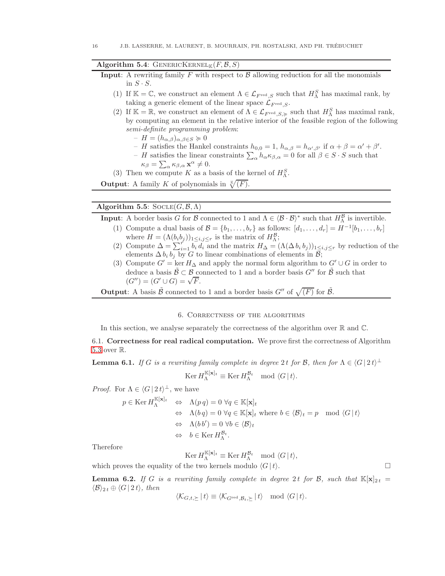# Algorithm 5.4: GENERICKERNEL<sub>K</sub> $(F, \mathcal{B}, S)$

**Input:** A rewriting family F with respect to  $\beta$  allowing reduction for all the monomials in  $S \cdot S$ .

- (1) If  $\mathbb{K} = \mathbb{C}$ , we construct an element  $\Lambda \in \mathcal{L}_{F^{\text{red}},S}$  such that  $H_{\Lambda}^S$  has maximal rank, by taking a generic element of the linear space  $\mathcal{L}_{F^{\text{red}}},$
- (2) If  $\mathbb{K} = \mathbb{R}$ , we construct an element of  $\Lambda \in \mathcal{L}_{F^{red}, S, \succcurlyeq}$  such that  $H_{\Lambda}^S$  has maximal rank, by computing an element in the relative interior of the feasible region of the following semi-definite programming problem:

 $-H = (h_{\alpha,\beta})_{\alpha,\beta \in S} \succcurlyeq 0$ 

- H satisfies the Hankel constraints  $h_{0,0} = 1$ ,  $h_{\alpha,\beta} = h_{\alpha',\beta'}$  if  $\alpha + \beta = \alpha' + \beta'$ .
- H satisfies the linear constraints  $\sum_{\alpha} h_{\alpha} \kappa_{\beta,\alpha} = 0$  for all  $\beta \in S \cdot S$  such that  $\kappa_{\beta} = \sum_{\alpha} \kappa_{\beta,\alpha} \mathbf{x}^{\alpha} \neq 0.$
- (3) Then we compute K as a basis of the kernel of  $H_{\Lambda}^S$ .

**Output:** A family K of polynomials in  $\sqrt[K]{(F)}$ .

# Algorithm 5.5:  $SocLE(G, \mathcal{B}, \Lambda)$

**Input:** A border basis G for B connected to 1 and  $\Lambda \in \langle \mathcal{B} \cdot \mathcal{B} \rangle^*$  such that  $H_{\Lambda}^{\mathcal{B}}$  is invertible.

- (1) Compute a dual basis of  $\mathcal{B} = \{b_1, \ldots, b_r\}$  as follows:  $[d_1, \ldots, d_r] = H^{-1}[b_1, \ldots, b_r]$ where  $H = (\Lambda(b_i b_j))_{1 \leq i,j \leq r}$  is the matrix of  $H_{\Lambda}^{\mathcal{B}}$ ;
- (2) Compute  $\Delta = \sum_{i=1}^{r} b_i \overline{d_i}$  and the matrix  $H_{\Delta} = (\Lambda(\Delta b_i b_j))_{1 \leq i,j \leq r}$  by reduction of the elements  $\Delta b_i b_j$  by G to linear combinations of elements in  $\mathcal{B}$ ;
- (3) Compute  $G' = \ker H_{\Delta}$  and apply the normal form algorithm to  $G' \cup G$  in order to deduce a basis  $\tilde{\mathcal{B}} \subset \mathcal{B}$  connected to 1 and a border basis  $G''$  for  $\tilde{\mathcal{B}}$  such that  $(G''') = (G' \cup G) = \sqrt{F}.$

<span id="page-15-0"></span>**Output:** A basis  $\tilde{\mathcal{B}}$  connected to 1 and a border basis  $G''$  of  $\sqrt{(F)}$  for  $\tilde{\mathcal{B}}$ .

# 6. Correctness of the algorithms

In this section, we analyse separately the correctness of the algorithm over  $\mathbb R$  and  $\mathbb C$ .

6.1. Correctness for real radical computation. We prove first the correctness of Algorithm [5.3](#page-14-0) over R.

<span id="page-15-1"></span>**Lemma 6.1.** If G is a rewriting family complete in degree 2t for B, then for  $\Lambda \in \langle G | 2t \rangle^{\perp}$ 

$$
\operatorname{Ker} H_{\Lambda}^{\mathbb{K}[\mathbf{x}]_t} \equiv \operatorname{Ker} H_{\Lambda}^{\mathcal{B}_t} \mod \langle G | t \rangle.
$$

*Proof.* For  $\Lambda \in \langle G | 2t \rangle^{\perp}$ , we have

$$
p \in \text{Ker } H_{\Lambda}^{\mathbb{K}[\mathbf{x}]_t} \Leftrightarrow \Lambda(p \, q) = 0 \ \forall q \in \mathbb{K}[\mathbf{x}]_t
$$

$$
\Leftrightarrow \Lambda(b \, q) = 0 \ \forall q \in \mathbb{K}[\mathbf{x}]_t \text{ where } b \in \langle \mathcal{B} \rangle_t = p \mod \langle G \, | \, t \rangle
$$

$$
\Leftrightarrow \Lambda(b \, b') = 0 \ \forall b \in \langle \mathcal{B} \rangle_t
$$

$$
\Leftrightarrow \ b \in \text{Ker } H_{\Lambda}^{\mathcal{B}_t}.
$$

Therefore

$$
\operatorname{Ker} H_{\Lambda}^{{\mathbb{K}}[{\mathbf{x}}]_t} \equiv \operatorname{Ker} H_{\Lambda}^{{\mathcal{B}}_t} \mod \langle G \, | \, t \rangle,
$$

which proves the equality of the two kernels modulo  $\langle G | t \rangle$ .

<span id="page-15-2"></span>**Lemma 6.2.** If G is a rewriting family complete in degree 2t for B, such that  $\mathbb{K}[\mathbf{x}]_{2t} =$  $\langle \mathcal{B} \rangle_{2t} \oplus \langle G | 2t \rangle$ , then

$$
\langle \mathcal{K}_{G,t,\succeq} | t \rangle \equiv \langle \mathcal{K}_{G^{\text{red}}, \mathcal{B}_t, \succeq} | t \rangle \mod \langle G | t \rangle.
$$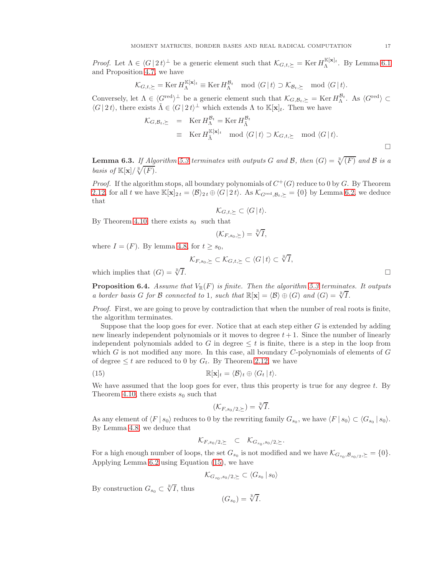*Proof.* Let  $\Lambda \in \langle G | 2t \rangle^{\perp}$  be a generic element such that  $\mathcal{K}_{G,t,\succeq} = \text{Ker } H_{\Lambda}^{\mathbb{K}[\mathbf{x}]_t}$ . By Lemma [6.1](#page-15-1) and Proposition [4.7,](#page-11-4) we have

$$
\mathcal{K}_{G,t,\succeq} = \operatorname{Ker} H_{\Lambda}^{\mathbb{K}[\mathbf{x}]_t} \equiv \operatorname{Ker} H_{\Lambda}^{\mathcal{B}_t} \mod \langle G | t \rangle \supset \mathcal{K}_{\mathcal{B}_t,\succeq} \mod \langle G | t \rangle.
$$

Conversely, let  $\Lambda \in \langle G^{\text{red}} \rangle^{\perp}$  be a generic element such that  $\mathcal{K}_{G,\mathcal{B}_t,\succeq} = \text{Ker } H_{\Lambda}^{\mathcal{B}_t}$ . As  $\langle G^{\text{red}} \rangle \subset$  $\langle G | 2t \rangle$ , there exists  $\tilde{\Lambda} \in \langle G | 2t \rangle^{\perp}$  which extends  $\Lambda$  to  $\mathbb{K}[\mathbf{x}]_t$ . Then we have

$$
\mathcal{K}_{G,\mathcal{B}_t,\succeq} = \operatorname{Ker} H_{\tilde{\Lambda}}^{\mathcal{B}_t} = \operatorname{Ker} H_{\tilde{\Lambda}}^{\mathcal{B}_t}
$$
  
\n
$$
\equiv \operatorname{Ker} H_{\tilde{\Lambda}}^{\mathbb{K}[\mathbf{x}]_t} \mod \langle G | t \rangle \supset \mathcal{K}_{G,t,\succeq} \mod \langle G | t \rangle.
$$

<span id="page-16-1"></span>**Lemma 6.3.** If Algorithm [5.3](#page-14-0) terminates with outputs G and B, then  $(G) = \sqrt[{\mathbb{R}}/F)$  and B is a basis of  $\mathbb{K}[\mathbf{x}]/\sqrt[\mathbb{R}]{(F)}$ .

*Proof.* If the algorithm stops, all boundary polynomials of  $C^+(G)$  reduce to 0 by G. By Theorem [2.12,](#page-5-1) for all t we have  $\mathbb{K}[\mathbf{x}]_{2t} = \langle \mathcal{B} \rangle_{2t} \oplus \langle G | 2t \rangle$ . As  $\mathcal{K}_{G^{\text{red}}, \mathcal{B}_t \succ} = \{0\}$  by Lemma [6.2,](#page-15-2) we deduce that

$$
\mathcal{K}_{G,t,\succeq} \subset \langle G \, | \, t \rangle.
$$

By Theorem [4.10,](#page-12-3) there exists  $s_0$  such that

$$
(\mathcal{K}_{F,s_0,\succeq}) = \sqrt[\mathbb{R}]{I},
$$

where  $I = (F)$ . By lemma [4.8,](#page-12-4) for  $t \geq s_0$ ,

$$
\mathcal{K}_{F,s_0,\succeq} \subset \mathcal{K}_{G,t,\succeq} \subset \langle G \, | \, t \rangle \subset \sqrt[\mathbb{R}]{I},
$$

which implies that  $(G) = \sqrt[R]{I}$ .

**Proposition 6.4.** Assume that  $V_{\mathbb{R}}(F)$  is finite. Then the algorithm [5.3](#page-14-0) terminates. It outputs a border basis G for B connected to 1, such that  $\mathbb{R}[\mathbf{x}] = \langle \mathcal{B} \rangle \oplus (G)$  and  $(G) = \sqrt[\mathbb{R}]{I}$ .

Proof. First, we are going to prove by contradiction that when the number of real roots is finite, the algorithm terminates.

Suppose that the loop goes for ever. Notice that at each step either  $G$  is extended by adding new linearly independent polynomials or it moves to degree  $t + 1$ . Since the number of linearly independent polynomials added to G in degree  $\leq t$  is finite, there is a step in the loop from which  $G$  is not modified any more. In this case, all boundary  $C$ -polynomials of elements of  $G$ of degree  $\leq t$  are reduced to 0 by  $G_t$ . By Theorem [2.12,](#page-5-1) we have

(15) 
$$
\mathbb{R}[\mathbf{x}]_t = \langle \mathcal{B} \rangle_t \oplus \langle G_t | t \rangle.
$$

We have assumed that the loop goes for ever, thus this property is true for any degree  $t$ . By Theorem [4.10,](#page-12-3) there exists  $s_0$  such that

<span id="page-16-0"></span>
$$
(\mathcal{K}_{F,s_0/2,\succeq}) = \sqrt[\mathbb{R}]{I}.
$$

As any element of  $\langle F | s_0 \rangle$  reduces to 0 by the rewriting family  $G_{s_0}$ , we have  $\langle F | s_0 \rangle \subset \langle G_{s_0} | s_0 \rangle$ . By Lemma [4.8,](#page-12-4) we deduce that

$$
\mathcal{K}_{F,s_0/2,\succeq} \quad \subset \quad \mathcal{K}_{G_{s_0},s_0/2,\succeq}.
$$

For a high enough number of loops, the set  $G_{s_0}$  is not modified and we have  $\mathcal{K}_{G_{s_0},\mathcal{B}_{s_0/2},\succ}=\{0\}.$ Applying Lemma [6.2](#page-15-2) using Equation [\(15\)](#page-16-0), we have

$$
\mathcal{K}_{G_{s_0}, s_0/2, \succeq} \subset \langle G_{s_0} \, | \, s_0 \rangle
$$

By construction  $G_{s_0} \subset \sqrt[\mathbb{R}]{I}$ , thus

$$
(G_{s_0})=\sqrt[\mathbb{R}]{I}.
$$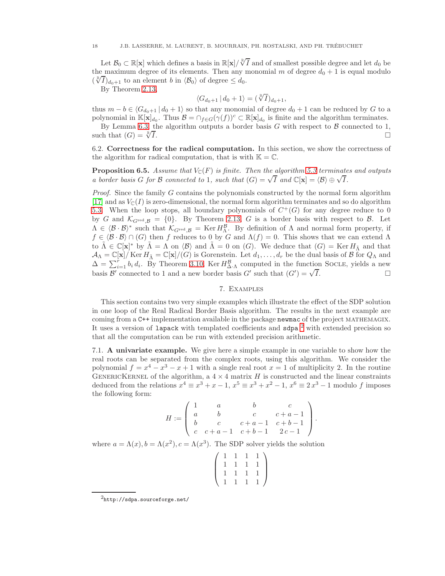Let  $\mathcal{B}_0 \subset \mathbb{R}[\mathbf{x}]$  which defines a basis in  $\mathbb{R}[\mathbf{x}]/\sqrt[8]{I}$  and of smallest possible degree and let  $d_0$  be the maximum degree of its elements. Then any monomial m of degree  $d_0 + 1$  is equal modulo  $(\sqrt[3]{I})_{d_0+1}$  to an element b in  $\langle B_0 \rangle$  of degree  $\leq d_0$ .

By Theorem [2.13,](#page-6-2)

$$
\langle G_{d_0+1} \, | \, d_0+1 \rangle = (\sqrt[\mathbb{R}]{I})_{d_0+1},
$$

thus  $m - b \in \langle G_{d_0+1} \, | \, d_0 + 1 \rangle$  so that any monomial of degree  $d_0 + 1$  can be reduced by G to a polynomial in  $\mathbb{K}[\mathbf{x}]_{d_0}$ . Thus  $\mathcal{B} = \cap_{f \in G} (\gamma(f))^c \subset \mathbb{R}[\mathbf{x}]_{d_0}$  is finite and the algorithm terminates.

By Lemma [6.3,](#page-16-1) the algorithm outputs a border basis G with respect to B connected to 1,  $\therefore$   $\Box$ such that  $(G) = \sqrt[R]{I}$ .

6.2. Correctness for the radical computation. In this section, we show the correctness of the algorithm for radical computation, that is with  $\mathbb{K} = \mathbb{C}$ .

**Proposition 6.5.** Assume that  $V_{\mathbb{C}}(F)$  is finite. Then the algorithm [5.3](#page-14-0) terminates and outputs a border basis G for B connected to 1, such that  $(G) = \sqrt{I}$  and  $\mathbb{C}[\mathbf{x}] = \langle \mathcal{B} \rangle \oplus \sqrt{I}$ .

*Proof.* Since the family  $G$  contains the polynomials constructed by the normal form algorithm [\[17\]](#page-20-0) and as  $V_{\mathbb{C}}(I)$  is zero-dimensional, the normal form algorithm terminates and so do algorithm [5.3.](#page-14-0) When the loop stops, all boundary polynomials of  $C^+(G)$  for any degree reduce to 0 by G and  $\mathcal{K}_{G^{\text{red}},B} = \{0\}$ . By Theorem [2.13,](#page-6-2) G is a border basis with respect to B. Let  $\Lambda \in \langle \mathcal{B} \cdot \mathcal{B} \rangle^*$  such that  $\mathcal{K}_{G^{\text{red}}, \mathcal{B}} = \text{Ker } H_{\Lambda}^{\mathcal{B}}$ . By definition of  $\Lambda$  and normal form property, if  $f \in \langle \mathcal{B} \cdot \mathcal{B} \rangle \cap (G)$  then f reduces to 0 by G and  $\Lambda(f) = 0$ . This shows that we can extend  $\Lambda$ to  $\tilde{\Lambda} \in \mathbb{C}[\mathbf{x}]^*$  by  $\tilde{\Lambda} = \Lambda$  on  $\langle \mathcal{B} \rangle$  and  $\tilde{\Lambda} = 0$  on  $(G)$ . We deduce that  $(G) = \text{Ker } H_{\tilde{\Lambda}}$  and that  $\mathcal{A}_{\Lambda} = \mathbb{C}[\mathbf{x}]/K$ er  $H_{\tilde{\Lambda}} = \mathbb{C}[\mathbf{x}]/(G)$  is Gorenstein. Let  $d_1, \ldots, d_r$  be the dual basis of  $\mathcal{B}$  for  $Q_{\Lambda}$  and  $\Delta = \sum_{i=1}^{r} b_i d_i$ . By Theorem [3.10,](#page-9-2) Ker  $H_{\Delta,\Lambda}^{\mathcal{B}}$  computed in the function SOCLE, yields a new basis  $\mathcal{B}'$  connected to 1 and a new border basis  $G'$  such that  $(G') = \sqrt{ }$  $\overline{I}$ .

# 7. Examples

<span id="page-17-0"></span>This section contains two very simple examples which illustrate the effect of the SDP solution in one loop of the Real Radical Border Basis algorithm. The results in the next example are coming from a C++ implementation available in the package newmac of the project MATHEMAGIX. It uses a version of lapack with templated coefficients and sdpa<sup>[2](#page-17-1)</sup> with extended precision so that all the computation can be run with extended precision arithmetic.

7.1. A univariate example. We give here a simple example in one variable to show how the real roots can be separated from the complex roots, using this algorithm. We consider the polynomial  $f = x^4 - x^3 - x + 1$  with a single real root  $x = 1$  of multiplicity 2. In the routine GENERICKERNEL of the algorithm, a  $4 \times 4$  matrix H is constructed and the linear constraints deduced from the relations  $x^4 \equiv x^3 + x - 1$ ,  $x^5 \equiv x^3 + x^2 - 1$ ,  $x^6 \equiv 2x^3 - 1$  modulo f imposes the following form:

$$
H := \left( \begin{array}{cccc} 1 & a & b & c \\ a & b & c & c+a-1 \\ b & c & c+a-1 & c+b-1 \\ c & c+a-1 & c+b-1 & 2c-1 \end{array} \right).
$$

where  $a = \Lambda(x)$ ,  $b = \Lambda(x^2)$ ,  $c = \Lambda(x^3)$ . The SDP solver yields the solution

| $\sqrt{1}$ | $\mathbf{1}$ | $\mathbf{1}$ | $1^{\prime}$ |  |
|------------|--------------|--------------|--------------|--|
|            | $1 \t1 \t1$  |              | $\mathbf{1}$ |  |
|            | $1 \t1 \t1$  |              | $\mathbf{1}$ |  |
| 1          | $\mathbf{1}$ | 1            | $\mathbf{1}$ |  |

<span id="page-17-1"></span> $^{2}$ http://sdpa.sourceforge.net/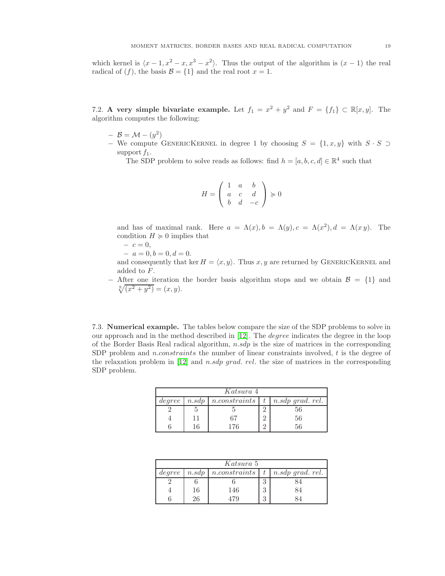which kernel is  $\langle x-1, x^2-x, x^3-x^2 \rangle$ . Thus the output of the algorithm is  $(x - 1)$  the real radical of  $(f)$ , the basis  $\mathcal{B} = \{1\}$  and the real root  $x = 1$ .

7.2. A very simple bivariate example. Let  $f_1 = x^2 + y^2$  and  $F = \{f_1\} \subset \mathbb{R}[x, y]$ . The algorithm computes the following:

- $-$  B = M  $(y^2)$
- − We compute GENERICKERNEL in degree 1 by choosing  $S = \{1, x, y\}$  with  $S \cdot S \supset$ support  $f_1$ .

The SDP problem to solve reads as follows: find  $h = [a, b, c, d] \in \mathbb{R}^4$  such that

$$
H = \left( \begin{array}{ccc} 1 & a & b \\ a & c & d \\ b & d & -c \end{array} \right) \succcurlyeq 0
$$

and has of maximal rank. Here  $a = \Lambda(x)$ ,  $b = \Lambda(y)$ ,  $c = \Lambda(x^2)$ ,  $d = \Lambda(x y)$ . The condition  $H \geq 0$  implies that

- $-c = 0,$
- $-a = 0, b = 0, d = 0.$

and consequently that ker  $H = \langle x, y \rangle$ . Thus x, y are returned by GENERICKERNEL and added to F.

 $-$  After one iteration the border basis algorithm stops and we obtain  $\mathcal{B} = \{1\}$  and  $\sqrt[\mathbb{R}]{(x^2+y^2)}=(x, y).$ 

7.3. Numerical example. The tables below compare the size of the SDP problems to solve in our approach and in the method described in [\[12\]](#page-20-1). The degree indicates the degree in the loop of the Border Basis Real radical algorithm,  $n.sdp$  is the size of matrices in the corresponding SDP problem and *n.constraints* the number of linear constraints involved, t is the degree of the relaxation problem in  $[12]$  and n.sdp grad. rel. the size of matrices in the corresponding SDP problem.

| Katsura 4 |       |                |  |                  |  |  |  |  |
|-----------|-------|----------------|--|------------------|--|--|--|--|
| degree    | n.sdp | n. constraints |  | n.sdp grad. rel. |  |  |  |  |
|           |       |                |  | 56               |  |  |  |  |
|           |       | 67             |  | 56               |  |  |  |  |
|           | 6     | 76             |  | 56               |  |  |  |  |

| Katsura 5 |       |                         |          |                       |  |  |  |  |
|-----------|-------|-------------------------|----------|-----------------------|--|--|--|--|
| degree    | n.sdp | $n. constraints \mid t$ |          | $n.sdp \, grad. rel.$ |  |  |  |  |
|           |       |                         | ∩        |                       |  |  |  |  |
|           | 16    | 146                     | $\Omega$ | 84                    |  |  |  |  |
|           | 26    | 179                     | $\Omega$ |                       |  |  |  |  |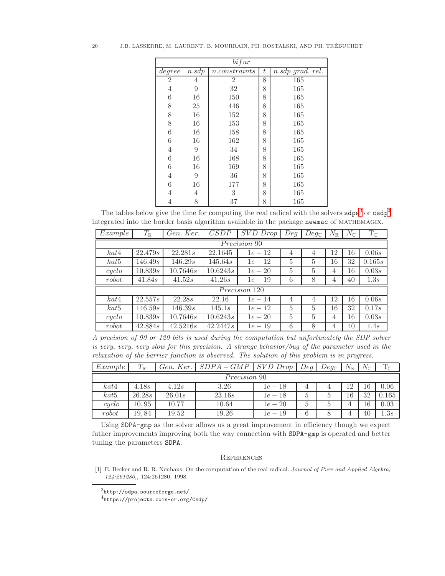| bifur          |       |                |   |                    |  |  |  |  |  |
|----------------|-------|----------------|---|--------------------|--|--|--|--|--|
| degree         | n.sdp | n. constraints | t | $n.sdp$ grad. rel. |  |  |  |  |  |
| $\overline{2}$ | 4     | $\overline{2}$ | 8 | 165                |  |  |  |  |  |
| 4              | 9     | 32             | 8 | 165                |  |  |  |  |  |
| 6              | 16    | 150            | 8 | 165                |  |  |  |  |  |
| 8              | 25    | 446            | 8 | 165                |  |  |  |  |  |
| 8              | 16    | 152            | 8 | 165                |  |  |  |  |  |
| 8              | 16    | 153            | 8 | 165                |  |  |  |  |  |
| 6              | 16    | 158            | 8 | 165                |  |  |  |  |  |
| 6              | 16    | 162            | 8 | 165                |  |  |  |  |  |
| 4              | 9     | 34             | 8 | 165                |  |  |  |  |  |
| 6              | 16    | 168            | 8 | 165                |  |  |  |  |  |
| 6              | 16    | 169            | 8 | 165                |  |  |  |  |  |
| 4              | 9     | 36             | 8 | 165                |  |  |  |  |  |
| 6              | 16    | 177            | 8 | 165                |  |  |  |  |  |
| 4              | 4     | 3              | 8 | 165                |  |  |  |  |  |
| 4              | 8     | 37             | 8 | 165                |  |  |  |  |  |

The tables below give the time for computing the real radical with the solvers  $\text{sd}p\text{a}^3$  $\text{sd}p\text{a}^3$  or  $\text{cs}p\text{a}^4$  $\text{cs}p\text{a}^4$ integrated into the border basis algorithm available in the package newmac of mathemagix.

| Example      | $T_\mathbb{R}$ | Gen. Ker. | CSDP     | SVD Drop      | Deq | $Deg_{\mathbb{C}}$ | $N_{\mathbb{R}}$ | $N_{\mathbb{C}}$ | $T_{\mathbb{C}}$ |
|--------------|----------------|-----------|----------|---------------|-----|--------------------|------------------|------------------|------------------|
| Precision 90 |                |           |          |               |     |                    |                  |                  |                  |
| kat4         | 22.479s        | 22.281s   | 22.1645  | $1e - 12$     | 4   | $\overline{4}$     | 12               | 16               | 0.06s            |
| kat5         | 146.49s        | 146.29s   | 145.64s  | $1e-12$       | 5   | 5                  | 16               | 32               | 0.165s           |
| cyclo        | 10.839s        | 10.7646s  | 10.6243s | $1e - 20$     | 5   | $\overline{5}$     | 4                | 16               | 0.03s            |
| robot        | 41.84s         | 41.52s    | 41.26s   | $1e - 19$     | 6   | 8                  | 4                | 40               | 1.3s             |
|              |                |           |          | Precision 120 |     |                    |                  |                  |                  |
| kat4         | 22.557s        | 22.28s    | 22.16    | $1e-14$       | 4   | $\overline{4}$     | 12               | 16               | 0.06s            |
| kat5         | 146.59s        | 146.39s   | 145.1s   | $1e - 12$     | 5   | $\overline{5}$     | 16               | 32               | 0.17s            |
| $\ncyclo$    | 10.839s        | 10.7646s  | 10.6243s | $1e - 20$     | 5   | 5                  | 4                | 16               | 0.03s            |
| robot        | 42.884s        | 42.5216s  | 42.2447s | $1e-19$       | 6   | 8                  | 4                | 40               | 1.4s             |

A precision of 90 or 120 bits is used during the computation but unfortunately the SDP solver is very, very, very slow for this precision. A strange behavior/bug of the parameter used in the relaxation of the barrier function is observed. The solution of this problem is in progress.

| Example             | $T_\mathbb{R}$ | Gen. Ker. | $SDPA-GMP$ | $SVD$ $Drop$ | Deg | $Deg_{\mathbb{C}}$ | $N_{\mathbb{R}}$ | $N_\mathbb{C}$ | $\operatorname{T}_\mathbb C$ |
|---------------------|----------------|-----------|------------|--------------|-----|--------------------|------------------|----------------|------------------------------|
| <i>Precision</i> 90 |                |           |            |              |     |                    |                  |                |                              |
| kat4                | 4.18s          | 4.12s     | 3.26       | $1e-18$      | 4   |                    |                  | 16.            | 0.06                         |
| $k$ at <sup>5</sup> | 26.28s         | 26.01s    | 23.16s     | $1e - 18$    | 5   | b                  | 16               | 32             | 0.165                        |
| cyclo               | 10,95          | 10.77     | 10.64      | $1e - 20$    | 5   | Ð                  |                  | 16             | 0.03                         |
| robot               | 19,84          | 19.52     | 19.26      | $1e-19$      | 6   |                    |                  | 40             | 1.3s                         |

Using SDPA-gmp as the solver allows us a great improvement in efficiency though we expect futher improvements improving both the way connection with SDPA-gmp is operated and better tuning the parameters SDPA.

## **REFERENCES**

<span id="page-19-0"></span>[1] E. Becker and R. R. Neuhaus. On the computation of the real radical. Journal of Pure and Applied Algebra, 124:261280,, 124:261280, 1998.

 $3$ http://sdpa.sourceforge.net/

<span id="page-19-2"></span><span id="page-19-1"></span><sup>4</sup>https://projects.coin-or.org/Csdp/